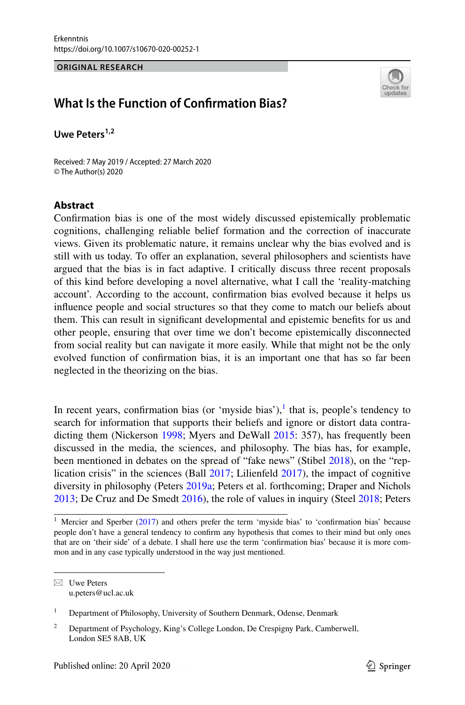**ORIGINAL RESEARCH**



# **What Is the Function of Confrmation Bias?**

Uwe Peters<sup>1,2</sup>

Received: 7 May 2019 / Accepted: 27 March 2020 © The Author(s) 2020

## **Abstract**

Confrmation bias is one of the most widely discussed epistemically problematic cognitions, challenging reliable belief formation and the correction of inaccurate views. Given its problematic nature, it remains unclear why the bias evolved and is still with us today. To offer an explanation, several philosophers and scientists have argued that the bias is in fact adaptive. I critically discuss three recent proposals of this kind before developing a novel alternative, what I call the 'reality-matching account'. According to the account, confrmation bias evolved because it helps us infuence people and social structures so that they come to match our beliefs about them. This can result in signifcant developmental and epistemic benefts for us and other people, ensuring that over time we don't become epistemically disconnected from social reality but can navigate it more easily. While that might not be the only evolved function of confrmation bias, it is an important one that has so far been neglected in the theorizing on the bias.

In recent years, confirmation bias (or 'myside bias'), $<sup>1</sup>$  $<sup>1</sup>$  $<sup>1</sup>$  that is, people's tendency to</sup> search for information that supports their beliefs and ignore or distort data contradicting them (Nickerson [1998;](#page-23-0) Myers and DeWall [2015:](#page-23-1) 357), has frequently been discussed in the media, the sciences, and philosophy. The bias has, for example, been mentioned in debates on the spread of "fake news" (Stibel [2018](#page-24-0)), on the "replication crisis" in the sciences (Ball [2017;](#page-20-0) Lilienfeld [2017\)](#page-22-0), the impact of cognitive diversity in philosophy (Peters [2019a](#page-23-2); Peters et al. forthcoming; Draper and Nichols [2013](#page-21-0); De Cruz and De Smedt [2016\)](#page-21-1), the role of values in inquiry (Steel [2018;](#page-23-3) Peters

 $\boxtimes$  Uwe Peters u.peters@ucl.ac.uk

<sup>1</sup> Department of Philosophy, University of Southern Denmark, Odense, Denmark

<span id="page-0-0"></span><sup>&</sup>lt;sup>1</sup> Mercier and Sperber [\(2017](#page-22-1)) and others prefer the term 'myside bias' to 'confirmation bias' because people don't have a general tendency to confrm any hypothesis that comes to their mind but only ones that are on 'their side' of a debate. I shall here use the term 'confrmation bias' because it is more common and in any case typically understood in the way just mentioned.

<sup>&</sup>lt;sup>2</sup> Department of Psychology, King's College London, De Crespigny Park, Camberwell, London SE5 8AB, UK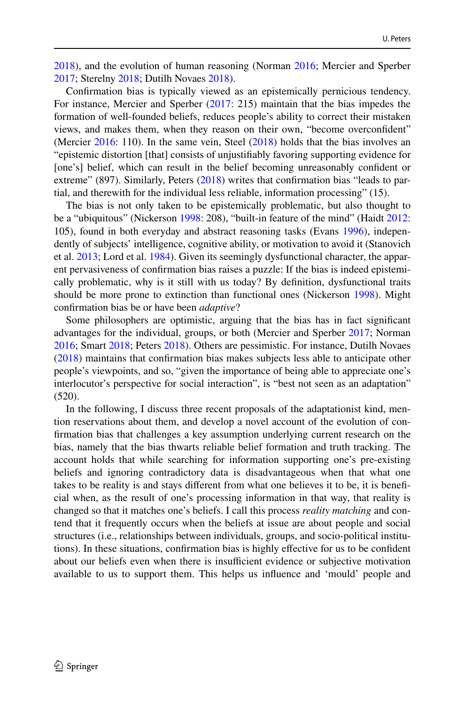[2018](#page-23-4)), and the evolution of human reasoning (Norman [2016](#page-23-5); Mercier and Sperber [2017](#page-22-1); Sterelny [2018;](#page-24-1) Dutilh Novaes [2018](#page-21-2)).

Confrmation bias is typically viewed as an epistemically pernicious tendency. For instance, Mercier and Sperber [\(2017](#page-22-1): 215) maintain that the bias impedes the formation of well-founded beliefs, reduces people's ability to correct their mistaken views, and makes them, when they reason on their own, "become overconfdent" (Mercier [2016](#page-22-2): 110). In the same vein, Steel ([2018\)](#page-23-3) holds that the bias involves an "epistemic distortion [that] consists of unjustifably favoring supporting evidence for [one's] belief, which can result in the belief becoming unreasonably confdent or extreme" (897). Similarly, Peters [\(2018](#page-23-4)) writes that confirmation bias "leads to partial, and therewith for the individual less reliable, information processing" (15).

The bias is not only taken to be epistemically problematic, but also thought to be a "ubiquitous" (Nickerson [1998:](#page-23-0) 208), "built-in feature of the mind" (Haidt [2012:](#page-21-3) 105), found in both everyday and abstract reasoning tasks (Evans [1996](#page-21-4)), independently of subjects' intelligence, cognitive ability, or motivation to avoid it (Stanovich et al. [2013;](#page-23-6) Lord et al. [1984](#page-22-3)). Given its seemingly dysfunctional character, the apparent pervasiveness of confrmation bias raises a puzzle: If the bias is indeed epistemically problematic, why is it still with us today? By defnition, dysfunctional traits should be more prone to extinction than functional ones (Nickerson [1998](#page-23-0)). Might confrmation bias be or have been *adaptive*?

Some philosophers are optimistic, arguing that the bias has in fact signifcant advantages for the individual, groups, or both (Mercier and Sperber [2017;](#page-22-1) Norman [2016](#page-23-5); Smart [2018;](#page-23-7) Peters [2018\)](#page-23-4). Others are pessimistic. For instance, Dutilh Novaes [\(2018](#page-21-2)) maintains that confrmation bias makes subjects less able to anticipate other people's viewpoints, and so, "given the importance of being able to appreciate one's interlocutor's perspective for social interaction", is "best not seen as an adaptation" (520).

In the following, I discuss three recent proposals of the adaptationist kind, mention reservations about them, and develop a novel account of the evolution of confrmation bias that challenges a key assumption underlying current research on the bias, namely that the bias thwarts reliable belief formation and truth tracking. The account holds that while searching for information supporting one's pre-existing beliefs and ignoring contradictory data is disadvantageous when that what one takes to be reality is and stays diferent from what one believes it to be, it is benefcial when, as the result of one's processing information in that way, that reality is changed so that it matches one's beliefs. I call this process *reality matching* and contend that it frequently occurs when the beliefs at issue are about people and social structures (i.e., relationships between individuals, groups, and socio-political institutions). In these situations, confrmation bias is highly efective for us to be confdent about our beliefs even when there is insufficient evidence or subjective motivation available to us to support them. This helps us infuence and 'mould' people and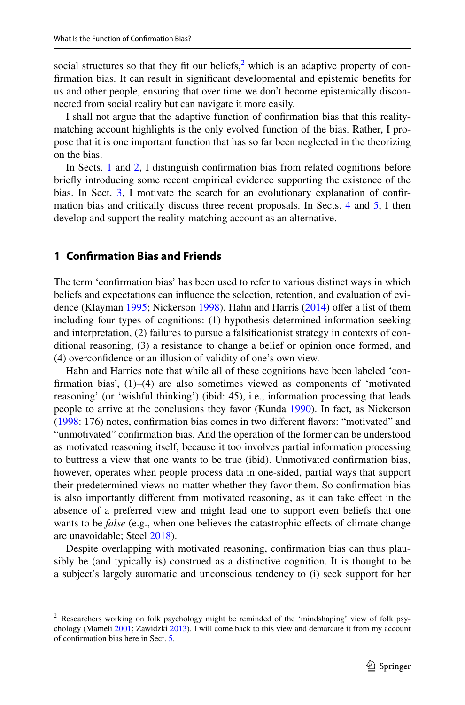social structures so that they fit our beliefs,<sup>[2](#page-2-0)</sup> which is an adaptive property of confrmation bias. It can result in signifcant developmental and epistemic benefts for us and other people, ensuring that over time we don't become epistemically disconnected from social reality but can navigate it more easily.

I shall not argue that the adaptive function of confrmation bias that this realitymatching account highlights is the only evolved function of the bias. Rather, I propose that it is one important function that has so far been neglected in the theorizing on the bias.

In Sects. [1](#page-2-1) and [2,](#page-3-0) I distinguish confrmation bias from related cognitions before briefy introducing some recent empirical evidence supporting the existence of the bias. In Sect. [3](#page-4-0), I motivate the search for an evolutionary explanation of confirmation bias and critically discuss three recent proposals. In Sects. [4](#page-7-0) and [5](#page-13-0), I then develop and support the reality-matching account as an alternative.

## <span id="page-2-1"></span>**1 Confrmation Bias and Friends**

The term 'confrmation bias' has been used to refer to various distinct ways in which beliefs and expectations can infuence the selection, retention, and evaluation of evidence (Klayman [1995](#page-22-4); Nickerson [1998\)](#page-23-0). Hahn and Harris ([2014\)](#page-21-5) ofer a list of them including four types of cognitions: (1) hypothesis-determined information seeking and interpretation, (2) failures to pursue a falsifcationist strategy in contexts of conditional reasoning, (3) a resistance to change a belief or opinion once formed, and (4) overconfdence or an illusion of validity of one's own view.

Hahn and Harries note that while all of these cognitions have been labeled 'confrmation bias', (1)–(4) are also sometimes viewed as components of 'motivated reasoning' (or 'wishful thinking') (ibid: 45), i.e., information processing that leads people to arrive at the conclusions they favor (Kunda [1990](#page-22-5)). In fact, as Nickerson [\(1998](#page-23-0): 176) notes, confrmation bias comes in two diferent favors: "motivated" and "unmotivated" confrmation bias. And the operation of the former can be understood as motivated reasoning itself, because it too involves partial information processing to buttress a view that one wants to be true (ibid). Unmotivated confrmation bias, however, operates when people process data in one-sided, partial ways that support their predetermined views no matter whether they favor them. So confrmation bias is also importantly diferent from motivated reasoning, as it can take efect in the absence of a preferred view and might lead one to support even beliefs that one wants to be *false* (e.g., when one believes the catastrophic effects of climate change are unavoidable; Steel [2018\)](#page-23-3).

Despite overlapping with motivated reasoning, confrmation bias can thus plausibly be (and typically is) construed as a distinctive cognition. It is thought to be a subject's largely automatic and unconscious tendency to (i) seek support for her

<span id="page-2-0"></span><sup>2</sup> Researchers working on folk psychology might be reminded of the 'mindshaping' view of folk psychology (Mameli [2001](#page-22-6); Zawidzki [2013\)](#page-24-2). I will come back to this view and demarcate it from my account of confrmation bias here in Sect. [5](#page-13-0).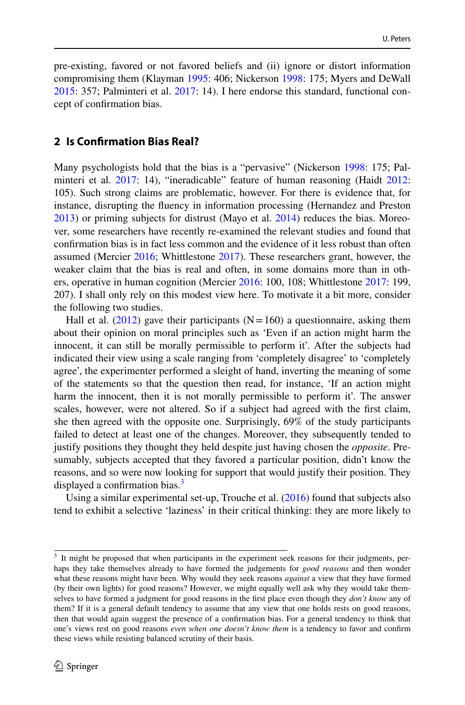pre-existing, favored or not favored beliefs and (ii) ignore or distort information compromising them (Klayman [1995:](#page-22-4) 406; Nickerson [1998](#page-23-0): 175; Myers and DeWall [2015](#page-23-1): 357; Palminteri et al. [2017](#page-23-8): 14). I here endorse this standard, functional concept of confrmation bias.

### <span id="page-3-0"></span>**2 Is Confrmation Bias Real?**

Many psychologists hold that the bias is a "pervasive" (Nickerson [1998](#page-23-0): 175; Pal-minteri et al. [2017](#page-23-8): 14), "ineradicable" feature of human reasoning (Haidt [2012:](#page-21-3) 105). Such strong claims are problematic, however. For there is evidence that, for instance, disrupting the fuency in information processing (Hernandez and Preston [2013](#page-21-6)) or priming subjects for distrust (Mayo et al. [2014](#page-22-7)) reduces the bias. Moreover, some researchers have recently re-examined the relevant studies and found that confrmation bias is in fact less common and the evidence of it less robust than often assumed (Mercier [2016;](#page-22-2) Whittlestone [2017\)](#page-24-3). These researchers grant, however, the weaker claim that the bias is real and often, in some domains more than in others, operative in human cognition (Mercier [2016:](#page-22-2) 100, 108; Whittlestone [2017](#page-24-3): 199, 207). I shall only rely on this modest view here. To motivate it a bit more, consider the following two studies.

Hall et al. ([2012\)](#page-21-7) gave their participants ( $N=160$ ) a questionnaire, asking them about their opinion on moral principles such as 'Even if an action might harm the innocent, it can still be morally permissible to perform it'. After the subjects had indicated their view using a scale ranging from 'completely disagree' to 'completely agree', the experimenter performed a sleight of hand, inverting the meaning of some of the statements so that the question then read, for instance, 'If an action might harm the innocent, then it is not morally permissible to perform it'. The answer scales, however, were not altered. So if a subject had agreed with the frst claim, she then agreed with the opposite one. Surprisingly, 69% of the study participants failed to detect at least one of the changes. Moreover, they subsequently tended to justify positions they thought they held despite just having chosen the *opposite*. Presumably, subjects accepted that they favored a particular position, didn't know the reasons, and so were now looking for support that would justify their position. They displayed a confirmation bias.<sup>[3](#page-3-1)</sup>

Using a similar experimental set-up, Trouche et al. [\(2016](#page-24-4)) found that subjects also tend to exhibit a selective 'laziness' in their critical thinking: they are more likely to

<span id="page-3-1"></span><sup>&</sup>lt;sup>3</sup> It might be proposed that when participants in the experiment seek reasons for their judgments, perhaps they take themselves already to have formed the judgements for *good reasons* and then wonder what these reasons might have been. Why would they seek reasons *against* a view that they have formed (by their own lights) for good reasons? However, we might equally well ask why they would take themselves to have formed a judgment for good reasons in the frst place even though they *don't know* any of them? If it is a general default tendency to assume that any view that one holds rests on good reasons, then that would again suggest the presence of a confrmation bias. For a general tendency to think that one's views rest on good reasons *even when one doesn't know them* is a tendency to favor and confrm these views while resisting balanced scrutiny of their basis.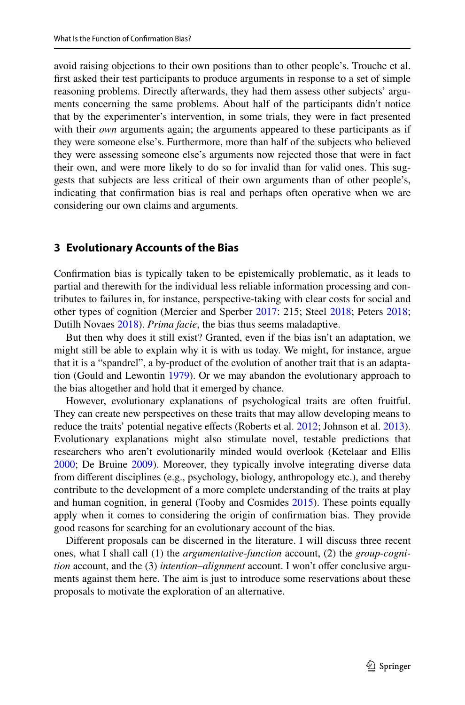avoid raising objections to their own positions than to other people's. Trouche et al. frst asked their test participants to produce arguments in response to a set of simple reasoning problems. Directly afterwards, they had them assess other subjects' arguments concerning the same problems. About half of the participants didn't notice that by the experimenter's intervention, in some trials, they were in fact presented with their *own* arguments again; the arguments appeared to these participants as if they were someone else's. Furthermore, more than half of the subjects who believed they were assessing someone else's arguments now rejected those that were in fact their own, and were more likely to do so for invalid than for valid ones. This suggests that subjects are less critical of their own arguments than of other people's, indicating that confrmation bias is real and perhaps often operative when we are considering our own claims and arguments.

## <span id="page-4-0"></span>**3 Evolutionary Accounts of the Bias**

Confrmation bias is typically taken to be epistemically problematic, as it leads to partial and therewith for the individual less reliable information processing and contributes to failures in, for instance, perspective-taking with clear costs for social and other types of cognition (Mercier and Sperber [2017:](#page-22-1) 215; Steel [2018](#page-23-3); Peters [2018;](#page-23-4) Dutilh Novaes [2018](#page-21-2)). *Prima facie*, the bias thus seems maladaptive.

But then why does it still exist? Granted, even if the bias isn't an adaptation, we might still be able to explain why it is with us today. We might, for instance, argue that it is a "spandrel", a by-product of the evolution of another trait that is an adaptation (Gould and Lewontin [1979](#page-21-8)). Or we may abandon the evolutionary approach to the bias altogether and hold that it emerged by chance.

However, evolutionary explanations of psychological traits are often fruitful. They can create new perspectives on these traits that may allow developing means to reduce the traits' potential negative effects (Roberts et al. [2012;](#page-23-9) Johnson et al. [2013\)](#page-21-9). Evolutionary explanations might also stimulate novel, testable predictions that researchers who aren't evolutionarily minded would overlook (Ketelaar and Ellis [2000](#page-22-8); De Bruine [2009\)](#page-21-10). Moreover, they typically involve integrating diverse data from diferent disciplines (e.g., psychology, biology, anthropology etc.), and thereby contribute to the development of a more complete understanding of the traits at play and human cognition, in general (Tooby and Cosmides [2015](#page-24-5)). These points equally apply when it comes to considering the origin of confrmation bias. They provide good reasons for searching for an evolutionary account of the bias.

Diferent proposals can be discerned in the literature. I will discuss three recent ones, what I shall call (1) the *argumentative*-*function* account, (2) the *group*-*cognition* account, and the (3) *intention–alignment* account. I won't offer conclusive arguments against them here. The aim is just to introduce some reservations about these proposals to motivate the exploration of an alternative.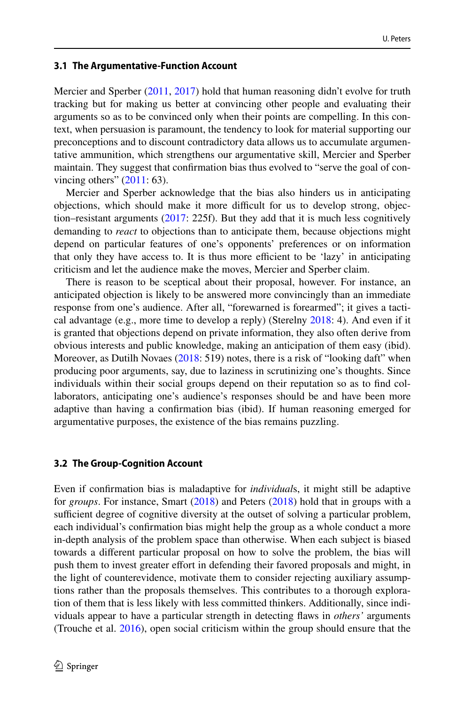#### **3.1 The Argumentative‑Function Account**

Mercier and Sperber ([2011,](#page-22-9) [2017\)](#page-22-1) hold that human reasoning didn't evolve for truth tracking but for making us better at convincing other people and evaluating their arguments so as to be convinced only when their points are compelling. In this context, when persuasion is paramount, the tendency to look for material supporting our preconceptions and to discount contradictory data allows us to accumulate argumentative ammunition, which strengthens our argumentative skill, Mercier and Sperber maintain. They suggest that confrmation bias thus evolved to "serve the goal of convincing others" [\(2011](#page-22-9): 63).

Mercier and Sperber acknowledge that the bias also hinders us in anticipating objections, which should make it more difcult for us to develop strong, objection–resistant arguments ([2017:](#page-22-1) 225f). But they add that it is much less cognitively demanding to *react* to objections than to anticipate them, because objections might depend on particular features of one's opponents' preferences or on information that only they have access to. It is thus more efficient to be 'lazy' in anticipating criticism and let the audience make the moves, Mercier and Sperber claim.

There is reason to be sceptical about their proposal, however. For instance, an anticipated objection is likely to be answered more convincingly than an immediate response from one's audience. After all, "forewarned is forearmed"; it gives a tactical advantage (e.g., more time to develop a reply) (Sterelny [2018](#page-24-1): 4). And even if it is granted that objections depend on private information, they also often derive from obvious interests and public knowledge, making an anticipation of them easy (ibid). Moreover, as Dutilh Novaes [\(2018](#page-21-2): 519) notes, there is a risk of "looking daft" when producing poor arguments, say, due to laziness in scrutinizing one's thoughts. Since individuals within their social groups depend on their reputation so as to fnd collaborators, anticipating one's audience's responses should be and have been more adaptive than having a confrmation bias (ibid). If human reasoning emerged for argumentative purposes, the existence of the bias remains puzzling.

#### **3.2 The Group‑Cognition Account**

Even if confrmation bias is maladaptive for *individual*s, it might still be adaptive for *groups*. For instance, Smart [\(2018](#page-23-7)) and Peters [\(2018](#page-23-4)) hold that in groups with a sufficient degree of cognitive diversity at the outset of solving a particular problem, each individual's confrmation bias might help the group as a whole conduct a more in-depth analysis of the problem space than otherwise. When each subject is biased towards a diferent particular proposal on how to solve the problem, the bias will push them to invest greater efort in defending their favored proposals and might, in the light of counterevidence, motivate them to consider rejecting auxiliary assumptions rather than the proposals themselves. This contributes to a thorough exploration of them that is less likely with less committed thinkers. Additionally, since individuals appear to have a particular strength in detecting faws in *others'* arguments (Trouche et al. [2016](#page-24-4)), open social criticism within the group should ensure that the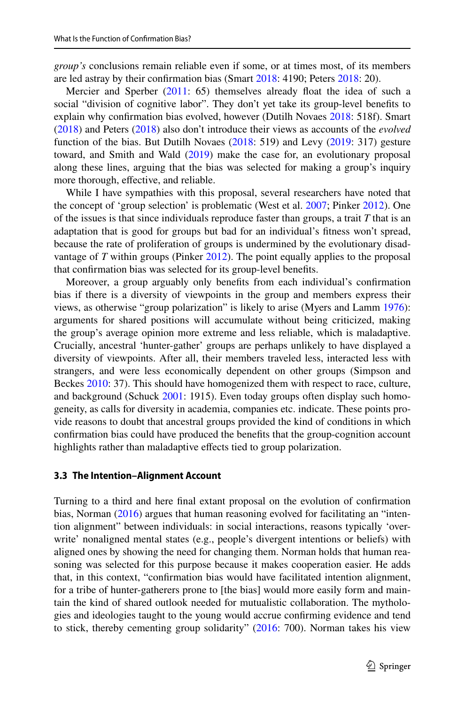*group's* conclusions remain reliable even if some, or at times most, of its members are led astray by their confrmation bias (Smart [2018](#page-23-7): 4190; Peters [2018](#page-23-4): 20).

Mercier and Sperber [\(2011](#page-22-9): 65) themselves already foat the idea of such a social "division of cognitive labor". They don't yet take its group-level benefts to explain why confrmation bias evolved, however (Dutilh Novaes [2018:](#page-21-2) 518f). Smart [\(2018](#page-23-7)) and Peters ([2018\)](#page-23-4) also don't introduce their views as accounts of the *evolved* function of the bias. But Dutilh Novaes ([2018:](#page-21-2) 519) and Levy [\(2019](#page-22-10): 317) gesture toward, and Smith and Wald [\(2019](#page-23-10)) make the case for, an evolutionary proposal along these lines, arguing that the bias was selected for making a group's inquiry more thorough, efective, and reliable.

While I have sympathies with this proposal, several researchers have noted that the concept of 'group selection' is problematic (West et al. [2007](#page-24-6); Pinker [2012](#page-23-11)). One of the issues is that since individuals reproduce faster than groups, a trait *T* that is an adaptation that is good for groups but bad for an individual's ftness won't spread, because the rate of proliferation of groups is undermined by the evolutionary disadvantage of *T* within groups (Pinker [2012\)](#page-23-11). The point equally applies to the proposal that confrmation bias was selected for its group-level benefts.

Moreover, a group arguably only benefts from each individual's confrmation bias if there is a diversity of viewpoints in the group and members express their views, as otherwise "group polarization" is likely to arise (Myers and Lamm [1976](#page-23-12)): arguments for shared positions will accumulate without being criticized, making the group's average opinion more extreme and less reliable, which is maladaptive. Crucially, ancestral 'hunter-gather' groups are perhaps unlikely to have displayed a diversity of viewpoints. After all, their members traveled less, interacted less with strangers, and were less economically dependent on other groups (Simpson and Beckes [2010](#page-23-13): 37). This should have homogenized them with respect to race, culture, and background (Schuck [2001](#page-23-14): 1915). Even today groups often display such homogeneity, as calls for diversity in academia, companies etc. indicate. These points provide reasons to doubt that ancestral groups provided the kind of conditions in which confrmation bias could have produced the benefts that the group-cognition account highlights rather than maladaptive effects tied to group polarization.

### **3.3 The Intention–Alignment Account**

Turning to a third and here fnal extant proposal on the evolution of confrmation bias, Norman [\(2016](#page-23-5)) argues that human reasoning evolved for facilitating an "intention alignment" between individuals: in social interactions, reasons typically 'overwrite' nonaligned mental states (e.g., people's divergent intentions or beliefs) with aligned ones by showing the need for changing them. Norman holds that human reasoning was selected for this purpose because it makes cooperation easier. He adds that, in this context, "confrmation bias would have facilitated intention alignment, for a tribe of hunter-gatherers prone to [the bias] would more easily form and maintain the kind of shared outlook needed for mutualistic collaboration. The mythologies and ideologies taught to the young would accrue confrming evidence and tend to stick, thereby cementing group solidarity" [\(2016](#page-23-5): 700). Norman takes his view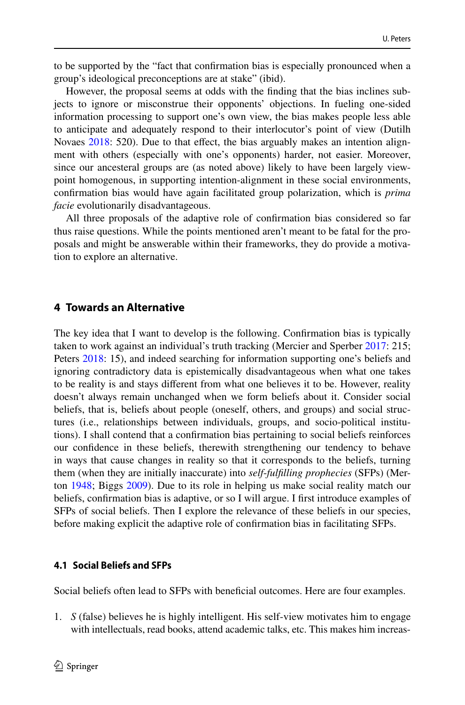to be supported by the "fact that confrmation bias is especially pronounced when a group's ideological preconceptions are at stake" (ibid).

However, the proposal seems at odds with the fnding that the bias inclines subjects to ignore or misconstrue their opponents' objections. In fueling one-sided information processing to support one's own view, the bias makes people less able to anticipate and adequately respond to their interlocutor's point of view (Dutilh Novaes [2018:](#page-21-2) 520). Due to that effect, the bias arguably makes an intention alignment with others (especially with one's opponents) harder, not easier. Moreover, since our ancesteral groups are (as noted above) likely to have been largely viewpoint homogenous, in supporting intention-alignment in these social environments, confrmation bias would have again facilitated group polarization, which is *prima facie* evolutionarily disadvantageous.

All three proposals of the adaptive role of confrmation bias considered so far thus raise questions. While the points mentioned aren't meant to be fatal for the proposals and might be answerable within their frameworks, they do provide a motivation to explore an alternative.

## <span id="page-7-0"></span>**4 Towards an Alternative**

The key idea that I want to develop is the following. Confrmation bias is typically taken to work against an individual's truth tracking (Mercier and Sperber [2017](#page-22-1): 215; Peters [2018](#page-23-4): 15), and indeed searching for information supporting one's beliefs and ignoring contradictory data is epistemically disadvantageous when what one takes to be reality is and stays diferent from what one believes it to be. However, reality doesn't always remain unchanged when we form beliefs about it. Consider social beliefs, that is, beliefs about people (oneself, others, and groups) and social structures (i.e., relationships between individuals, groups, and socio-political institutions). I shall contend that a confrmation bias pertaining to social beliefs reinforces our confdence in these beliefs, therewith strengthening our tendency to behave in ways that cause changes in reality so that it corresponds to the beliefs, turning them (when they are initially inaccurate) into *self*-*fulflling prophecies* (SFPs) (Merton [1948](#page-22-11); Biggs [2009\)](#page-20-1). Due to its role in helping us make social reality match our beliefs, confrmation bias is adaptive, or so I will argue. I frst introduce examples of SFPs of social beliefs. Then I explore the relevance of these beliefs in our species, before making explicit the adaptive role of confrmation bias in facilitating SFPs.

### **4.1 Social Beliefs and SFPs**

Social beliefs often lead to SFPs with benefcial outcomes. Here are four examples.

1. *S* (false) believes he is highly intelligent. His self-view motivates him to engage with intellectuals, read books, attend academic talks, etc. This makes him increas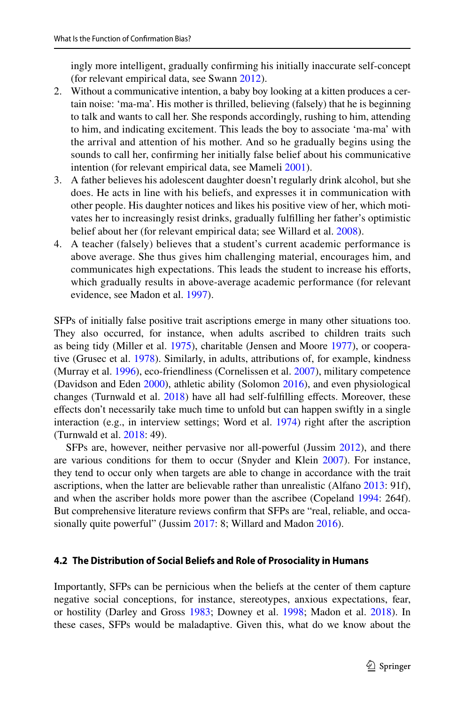ingly more intelligent, gradually confrming his initially inaccurate self-concept (for relevant empirical data, see Swann [2012\)](#page-24-7).

- 2. Without a communicative intention, a baby boy looking at a kitten produces a certain noise: 'ma-ma'. His mother is thrilled, believing (falsely) that he is beginning to talk and wants to call her. She responds accordingly, rushing to him, attending to him, and indicating excitement. This leads the boy to associate 'ma-ma' with the arrival and attention of his mother. And so he gradually begins using the sounds to call her, confrming her initially false belief about his communicative intention (for relevant empirical data, see Mameli [2001](#page-22-6)).
- 3. A father believes his adolescent daughter doesn't regularly drink alcohol, but she does. He acts in line with his beliefs, and expresses it in communication with other people. His daughter notices and likes his positive view of her, which motivates her to increasingly resist drinks, gradually fulflling her father's optimistic belief about her (for relevant empirical data; see Willard et al. [2008](#page-24-8)).
- 4. A teacher (falsely) believes that a student's current academic performance is above average. She thus gives him challenging material, encourages him, and communicates high expectations. This leads the student to increase his eforts, which gradually results in above-average academic performance (for relevant evidence, see Madon et al. [1997](#page-22-12)).

SFPs of initially false positive trait ascriptions emerge in many other situations too. They also occurred, for instance, when adults ascribed to children traits such as being tidy (Miller et al. [1975](#page-22-13)), charitable (Jensen and Moore [1977\)](#page-21-11), or cooperative (Grusec et al. [1978\)](#page-21-12). Similarly, in adults, attributions of, for example, kindness (Murray et al. [1996](#page-22-14)), eco-friendliness (Cornelissen et al. [2007](#page-21-13)), military competence (Davidson and Eden [2000\)](#page-21-14), athletic ability (Solomon [2016\)](#page-23-15), and even physiological changes (Turnwald et al.  $2018$ ) have all had self-fulfilling effects. Moreover, these effects don't necessarily take much time to unfold but can happen swiftly in a single interaction (e.g., in interview settings; Word et al. [1974\)](#page-24-10) right after the ascription (Turnwald et al. [2018:](#page-24-9) 49).

SFPs are, however, neither pervasive nor all-powerful (Jussim [2012\)](#page-21-15), and there are various conditions for them to occur (Snyder and Klein [2007](#page-23-16)). For instance, they tend to occur only when targets are able to change in accordance with the trait ascriptions, when the latter are believable rather than unrealistic (Alfano [2013:](#page-20-2) 91f), and when the ascriber holds more power than the ascribee (Copeland [1994](#page-20-3): 264f). But comprehensive literature reviews confrm that SFPs are "real, reliable, and occa-sionally quite powerful" (Jussim [2017](#page-22-15): 8; Willard and Madon [2016](#page-24-11)).

### **4.2 The Distribution of Social Beliefs and Role of Prosociality in Humans**

Importantly, SFPs can be pernicious when the beliefs at the center of them capture negative social conceptions, for instance, stereotypes, anxious expectations, fear, or hostility (Darley and Gross [1983;](#page-21-16) Downey et al. [1998](#page-21-17); Madon et al. [2018](#page-22-16)). In these cases, SFPs would be maladaptive. Given this, what do we know about the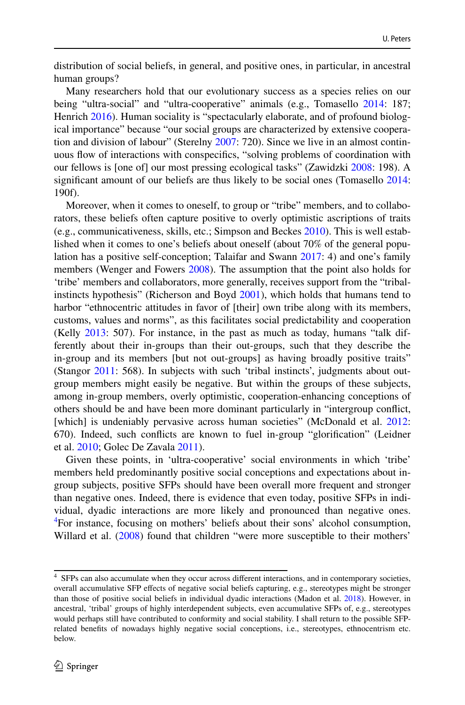distribution of social beliefs, in general, and positive ones, in particular, in ancestral human groups?

Many researchers hold that our evolutionary success as a species relies on our being "ultra-social" and "ultra-cooperative" animals (e.g., Tomasello [2014](#page-24-12): 187; Henrich [2016\)](#page-21-18). Human sociality is "spectacularly elaborate, and of profound biological importance" because "our social groups are characterized by extensive cooperation and division of labour" (Sterelny [2007](#page-24-13): 720). Since we live in an almost continuous fow of interactions with conspecifcs, "solving problems of coordination with our fellows is [one of] our most pressing ecological tasks" (Zawidzki [2008:](#page-24-14) 198). A signifcant amount of our beliefs are thus likely to be social ones (Tomasello [2014:](#page-24-12) 190f).

Moreover, when it comes to oneself, to group or "tribe" members, and to collaborators, these beliefs often capture positive to overly optimistic ascriptions of traits (e.g., communicativeness, skills, etc.; Simpson and Beckes [2010\)](#page-23-13). This is well established when it comes to one's beliefs about oneself (about 70% of the general population has a positive self-conception; Talaifar and Swann [2017](#page-24-15): 4) and one's family members (Wenger and Fowers [2008](#page-24-16)). The assumption that the point also holds for 'tribe' members and collaborators, more generally, receives support from the "tribalinstincts hypothesis" (Richerson and Boyd [2001\)](#page-23-17), which holds that humans tend to harbor "ethnocentric attitudes in favor of [their] own tribe along with its members, customs, values and norms", as this facilitates social predictability and cooperation (Kelly [2013](#page-22-17): 507). For instance, in the past as much as today, humans "talk differently about their in-groups than their out-groups, such that they describe the in-group and its members [but not out-groups] as having broadly positive traits" (Stangor [2011](#page-23-18): 568). In subjects with such 'tribal instincts', judgments about outgroup members might easily be negative. But within the groups of these subjects, among in-group members, overly optimistic, cooperation-enhancing conceptions of others should be and have been more dominant particularly in "intergroup confict, [which] is undeniably pervasive across human societies" (McDonald et al. [2012:](#page-22-18) 670). Indeed, such conficts are known to fuel in-group "glorifcation" (Leidner et al. [2010;](#page-22-19) Golec De Zavala [2011\)](#page-21-19).

Given these points, in 'ultra-cooperative' social environments in which 'tribe' members held predominantly positive social conceptions and expectations about ingroup subjects, positive SFPs should have been overall more frequent and stronger than negative ones. Indeed, there is evidence that even today, positive SFPs in individual, dyadic interactions are more likely and pronounced than negative ones. [4](#page-9-0) For instance, focusing on mothers' beliefs about their sons' alcohol consumption, Willard et al. [\(2008](#page-24-8)) found that children "were more susceptible to their mothers'

<span id="page-9-0"></span><sup>4</sup> SFPs can also accumulate when they occur across diferent interactions, and in contemporary societies, overall accumulative SFP efects of negative social beliefs capturing, e.g., stereotypes might be stronger than those of positive social beliefs in individual dyadic interactions (Madon et al. [2018](#page-22-16)). However, in ancestral, 'tribal' groups of highly interdependent subjects, even accumulative SFPs of, e.g., stereotypes would perhaps still have contributed to conformity and social stability. I shall return to the possible SFPrelated benefts of nowadays highly negative social conceptions, i.e., stereotypes, ethnocentrism etc. below.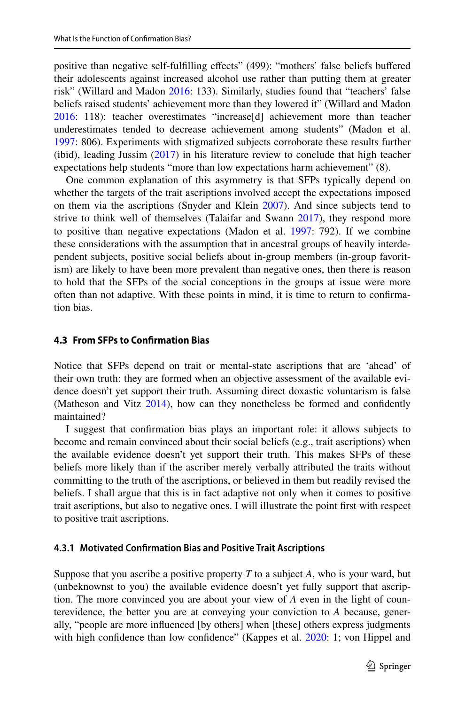positive than negative self-fulfilling effects" (499): "mothers' false beliefs buffered their adolescents against increased alcohol use rather than putting them at greater risk" (Willard and Madon [2016:](#page-24-11) 133). Similarly, studies found that "teachers' false beliefs raised students' achievement more than they lowered it" (Willard and Madon [2016](#page-24-11): 118): teacher overestimates "increase[d] achievement more than teacher underestimates tended to decrease achievement among students" (Madon et al. [1997](#page-22-12): 806). Experiments with stigmatized subjects corroborate these results further (ibid), leading Jussim ([2017\)](#page-22-15) in his literature review to conclude that high teacher expectations help students "more than low expectations harm achievement" (8).

One common explanation of this asymmetry is that SFPs typically depend on whether the targets of the trait ascriptions involved accept the expectations imposed on them via the ascriptions (Snyder and Klein [2007](#page-23-16)). And since subjects tend to strive to think well of themselves (Talaifar and Swann [2017\)](#page-24-15), they respond more to positive than negative expectations (Madon et al. [1997:](#page-22-12) 792). If we combine these considerations with the assumption that in ancestral groups of heavily interdependent subjects, positive social beliefs about in-group members (in-group favoritism) are likely to have been more prevalent than negative ones, then there is reason to hold that the SFPs of the social conceptions in the groups at issue were more often than not adaptive. With these points in mind, it is time to return to confrmation bias.

## **4.3 From SFPs to Confrmation Bias**

Notice that SFPs depend on trait or mental-state ascriptions that are 'ahead' of their own truth: they are formed when an objective assessment of the available evidence doesn't yet support their truth. Assuming direct doxastic voluntarism is false (Matheson and Vitz [2014\)](#page-22-20), how can they nonetheless be formed and confdently maintained?

I suggest that confrmation bias plays an important role: it allows subjects to become and remain convinced about their social beliefs (e.g., trait ascriptions) when the available evidence doesn't yet support their truth. This makes SFPs of these beliefs more likely than if the ascriber merely verbally attributed the traits without committing to the truth of the ascriptions, or believed in them but readily revised the beliefs. I shall argue that this is in fact adaptive not only when it comes to positive trait ascriptions, but also to negative ones. I will illustrate the point frst with respect to positive trait ascriptions.

### **4.3.1 Motivated Confrmation Bias and Positive Trait Ascriptions**

Suppose that you ascribe a positive property *T* to a subject *A*, who is your ward, but (unbeknownst to you) the available evidence doesn't yet fully support that ascription. The more convinced you are about your view of *A* even in the light of counterevidence, the better you are at conveying your conviction to *A* because, generally, "people are more infuenced [by others] when [these] others express judgments with high confidence than low confidence" (Kappes et al. [2020:](#page-22-21) 1; von Hippel and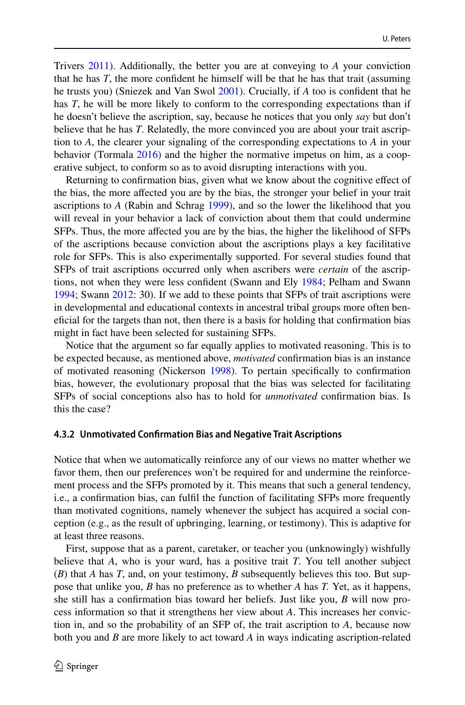Trivers [2011\)](#page-24-17). Additionally, the better you are at conveying to *A* your conviction that he has *T*, the more confdent he himself will be that he has that trait (assuming he trusts you) (Sniezek and Van Swol [2001](#page-23-19)). Crucially, if *A* too is confdent that he has *T*, he will be more likely to conform to the corresponding expectations than if he doesn't believe the ascription, say, because he notices that you only *say* but don't believe that he has *T*. Relatedly, the more convinced you are about your trait ascription to *A*, the clearer your signaling of the corresponding expectations to *A* in your behavior (Tormala [2016](#page-24-18)) and the higher the normative impetus on him, as a cooperative subject, to conform so as to avoid disrupting interactions with you.

Returning to confrmation bias, given what we know about the cognitive efect of the bias, the more afected you are by the bias, the stronger your belief in your trait ascriptions to *A* (Rabin and Schrag [1999\)](#page-23-20), and so the lower the likelihood that you will reveal in your behavior a lack of conviction about them that could undermine SFPs. Thus, the more afected you are by the bias, the higher the likelihood of SFPs of the ascriptions because conviction about the ascriptions plays a key facilitative role for SFPs. This is also experimentally supported. For several studies found that SFPs of trait ascriptions occurred only when ascribers were *certain* of the ascriptions, not when they were less confdent (Swann and Ely [1984](#page-24-19); Pelham and Swann [1994](#page-23-21); Swann [2012](#page-24-7): 30). If we add to these points that SFPs of trait ascriptions were in developmental and educational contexts in ancestral tribal groups more often benefcial for the targets than not, then there is a basis for holding that confrmation bias might in fact have been selected for sustaining SFPs.

Notice that the argument so far equally applies to motivated reasoning. This is to be expected because, as mentioned above, *motivated* confrmation bias is an instance of motivated reasoning (Nickerson [1998\)](#page-23-0). To pertain specifcally to confrmation bias, however, the evolutionary proposal that the bias was selected for facilitating SFPs of social conceptions also has to hold for *unmotivated* confrmation bias. Is this the case?

#### **4.3.2 Unmotivated Confrmation Bias and Negative Trait Ascriptions**

Notice that when we automatically reinforce any of our views no matter whether we favor them, then our preferences won't be required for and undermine the reinforcement process and the SFPs promoted by it. This means that such a general tendency, i.e., a confrmation bias, can fulfl the function of facilitating SFPs more frequently than motivated cognitions, namely whenever the subject has acquired a social conception (e.g., as the result of upbringing, learning, or testimony). This is adaptive for at least three reasons.

First, suppose that as a parent, caretaker, or teacher you (unknowingly) wishfully believe that *A*, who is your ward, has a positive trait *T*. You tell another subject (*B*) that *A* has *T*, and, on your testimony, *B* subsequently believes this too. But suppose that unlike you, *B* has no preference as to whether *A* has *T.* Yet, as it happens, she still has a confrmation bias toward her beliefs. Just like you, *B* will now process information so that it strengthens her view about *A*. This increases her conviction in, and so the probability of an SFP of, the trait ascription to *A*, because now both you and *B* are more likely to act toward *A* in ways indicating ascription-related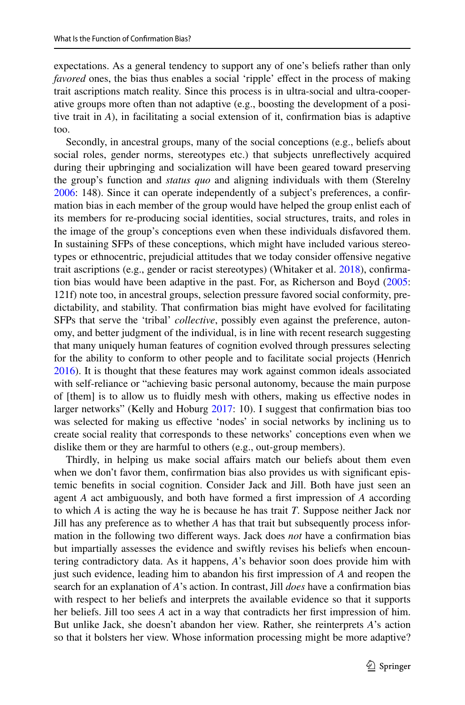expectations. As a general tendency to support any of one's beliefs rather than only *favored* ones, the bias thus enables a social 'ripple' effect in the process of making trait ascriptions match reality. Since this process is in ultra-social and ultra-cooperative groups more often than not adaptive (e.g., boosting the development of a positive trait in *A*), in facilitating a social extension of it, confrmation bias is adaptive too.

Secondly, in ancestral groups, many of the social conceptions (e.g., beliefs about social roles, gender norms, stereotypes etc.) that subjects unrefectively acquired during their upbringing and socialization will have been geared toward preserving the group's function and *status quo* and aligning individuals with them (Sterelny [2006](#page-24-20): 148). Since it can operate independently of a subject's preferences, a confrmation bias in each member of the group would have helped the group enlist each of its members for re-producing social identities, social structures, traits, and roles in the image of the group's conceptions even when these individuals disfavored them. In sustaining SFPs of these conceptions, which might have included various stereotypes or ethnocentric, prejudicial attitudes that we today consider ofensive negative trait ascriptions (e.g., gender or racist stereotypes) (Whitaker et al. [2018\)](#page-24-21), confrmation bias would have been adaptive in the past. For, as Richerson and Boyd ([2005:](#page-23-22) 121f) note too, in ancestral groups, selection pressure favored social conformity, predictability, and stability. That confrmation bias might have evolved for facilitating SFPs that serve the 'tribal' *collective*, possibly even against the preference, autonomy, and better judgment of the individual, is in line with recent research suggesting that many uniquely human features of cognition evolved through pressures selecting for the ability to conform to other people and to facilitate social projects (Henrich [2016](#page-21-18)). It is thought that these features may work against common ideals associated with self-reliance or "achieving basic personal autonomy, because the main purpose of [them] is to allow us to fuidly mesh with others, making us efective nodes in larger networks" (Kelly and Hoburg [2017](#page-22-22): 10). I suggest that confirmation bias too was selected for making us efective 'nodes' in social networks by inclining us to create social reality that corresponds to these networks' conceptions even when we dislike them or they are harmful to others (e.g., out-group members).

Thirdly, in helping us make social afairs match our beliefs about them even when we don't favor them, confirmation bias also provides us with significant epistemic benefts in social cognition. Consider Jack and Jill. Both have just seen an agent *A* act ambiguously, and both have formed a frst impression of *A* according to which *A* is acting the way he is because he has trait *T*. Suppose neither Jack nor Jill has any preference as to whether *A* has that trait but subsequently process information in the following two diferent ways. Jack does *not* have a confrmation bias but impartially assesses the evidence and swiftly revises his beliefs when encountering contradictory data. As it happens, *A*'s behavior soon does provide him with just such evidence, leading him to abandon his frst impression of *A* and reopen the search for an explanation of *A*'s action. In contrast, Jill *does* have a confrmation bias with respect to her beliefs and interprets the available evidence so that it supports her beliefs. Jill too sees *A* act in a way that contradicts her frst impression of him. But unlike Jack, she doesn't abandon her view. Rather, she reinterprets *A*'s action so that it bolsters her view. Whose information processing might be more adaptive?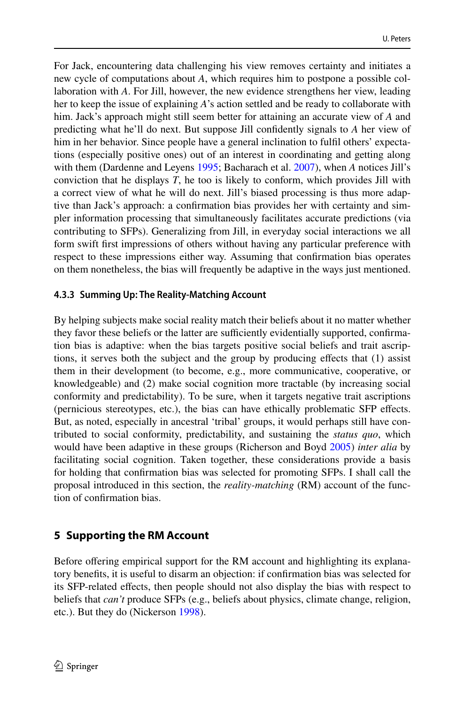For Jack, encountering data challenging his view removes certainty and initiates a new cycle of computations about *A*, which requires him to postpone a possible collaboration with *A*. For Jill, however, the new evidence strengthens her view, leading her to keep the issue of explaining *A*'s action settled and be ready to collaborate with him. Jack's approach might still seem better for attaining an accurate view of *A* and predicting what he'll do next. But suppose Jill confdently signals to *A* her view of him in her behavior. Since people have a general inclination to fulfl others' expectations (especially positive ones) out of an interest in coordinating and getting along with them (Dardenne and Leyens [1995](#page-21-20); Bacharach et al. [2007\)](#page-20-4), when *A* notices Jill's conviction that he displays *T*, he too is likely to conform, which provides Jill with a correct view of what he will do next. Jill's biased processing is thus more adaptive than Jack's approach: a confrmation bias provides her with certainty and simpler information processing that simultaneously facilitates accurate predictions (via contributing to SFPs). Generalizing from Jill, in everyday social interactions we all form swift frst impressions of others without having any particular preference with respect to these impressions either way. Assuming that confrmation bias operates on them nonetheless, the bias will frequently be adaptive in the ways just mentioned.

## **4.3.3 Summing Up: The Reality‑Matching Account**

By helping subjects make social reality match their beliefs about it no matter whether they favor these beliefs or the latter are sufficiently evidentially supported, confirmation bias is adaptive: when the bias targets positive social beliefs and trait ascriptions, it serves both the subject and the group by producing efects that (1) assist them in their development (to become, e.g., more communicative, cooperative, or knowledgeable) and (2) make social cognition more tractable (by increasing social conformity and predictability). To be sure, when it targets negative trait ascriptions (pernicious stereotypes, etc.), the bias can have ethically problematic SFP efects. But, as noted, especially in ancestral 'tribal' groups, it would perhaps still have contributed to social conformity, predictability, and sustaining the *status quo*, which would have been adaptive in these groups (Richerson and Boyd [2005\)](#page-23-22) *inter alia* by facilitating social cognition. Taken together, these considerations provide a basis for holding that confrmation bias was selected for promoting SFPs. I shall call the proposal introduced in this section, the *reality-matching* (RM) account of the function of confrmation bias.

## <span id="page-13-0"></span>**5 Supporting the RM Account**

Before ofering empirical support for the RM account and highlighting its explanatory benefts, it is useful to disarm an objection: if confrmation bias was selected for its SFP-related efects, then people should not also display the bias with respect to beliefs that *can't* produce SFPs (e.g., beliefs about physics, climate change, religion, etc.). But they do (Nickerson [1998](#page-23-0)).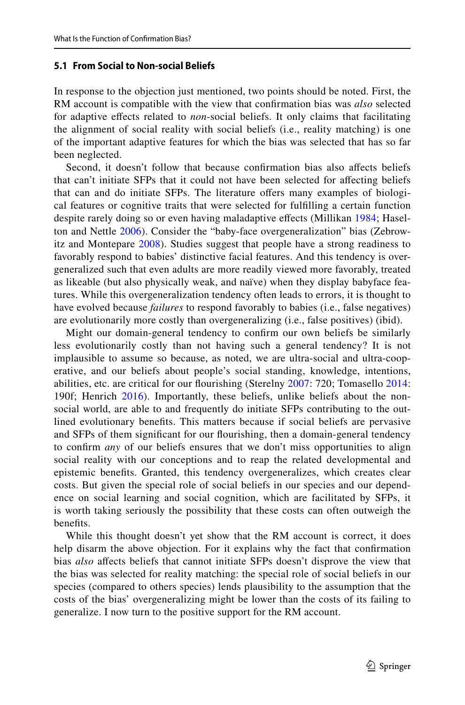### **5.1 From Social to Non‑social Beliefs**

In response to the objection just mentioned, two points should be noted. First, the RM account is compatible with the view that confrmation bias was *also* selected for adaptive efects related to *non*-social beliefs. It only claims that facilitating the alignment of social reality with social beliefs (i.e., reality matching) is one of the important adaptive features for which the bias was selected that has so far been neglected.

Second, it doesn't follow that because confrmation bias also afects beliefs that can't initiate SFPs that it could not have been selected for afecting beliefs that can and do initiate SFPs. The literature ofers many examples of biological features or cognitive traits that were selected for fulflling a certain function despite rarely doing so or even having maladaptive effects (Millikan [1984;](#page-22-23) Haselton and Nettle [2006\)](#page-21-21). Consider the "baby-face overgeneralization" bias (Zebrowitz and Montepare [2008\)](#page-24-22). Studies suggest that people have a strong readiness to favorably respond to babies' distinctive facial features. And this tendency is overgeneralized such that even adults are more readily viewed more favorably, treated as likeable (but also physically weak, and naïve) when they display babyface features. While this overgeneralization tendency often leads to errors, it is thought to have evolved because *failures* to respond favorably to babies (i.e., false negatives) are evolutionarily more costly than overgeneralizing (i.e., false positives) (ibid).

Might our domain-general tendency to confrm our own beliefs be similarly less evolutionarily costly than not having such a general tendency? It is not implausible to assume so because, as noted, we are ultra-social and ultra-cooperative, and our beliefs about people's social standing, knowledge, intentions, abilities, etc. are critical for our flourishing (Sterelny [2007:](#page-24-13) 720; Tomasello [2014:](#page-24-12) 190f; Henrich [2016\)](#page-21-18). Importantly, these beliefs, unlike beliefs about the nonsocial world, are able to and frequently do initiate SFPs contributing to the outlined evolutionary benefts. This matters because if social beliefs are pervasive and SFPs of them signifcant for our fourishing, then a domain-general tendency to confrm *any* of our beliefs ensures that we don't miss opportunities to align social reality with our conceptions and to reap the related developmental and epistemic benefts. Granted, this tendency overgeneralizes, which creates clear costs. But given the special role of social beliefs in our species and our dependence on social learning and social cognition, which are facilitated by SFPs, it is worth taking seriously the possibility that these costs can often outweigh the benefts.

While this thought doesn't yet show that the RM account is correct, it does help disarm the above objection. For it explains why the fact that confrmation bias *also* afects beliefs that cannot initiate SFPs doesn't disprove the view that the bias was selected for reality matching: the special role of social beliefs in our species (compared to others species) lends plausibility to the assumption that the costs of the bias' overgeneralizing might be lower than the costs of its failing to generalize. I now turn to the positive support for the RM account.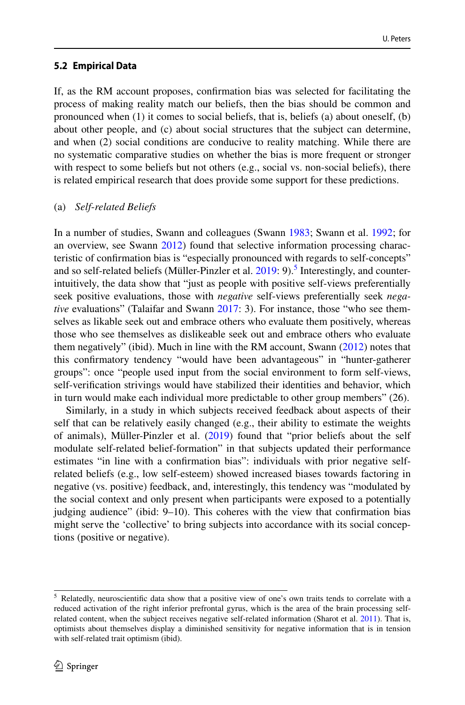### **5.2 Empirical Data**

If, as the RM account proposes, confrmation bias was selected for facilitating the process of making reality match our beliefs, then the bias should be common and pronounced when (1) it comes to social beliefs, that is, beliefs (a) about oneself, (b) about other people, and (c) about social structures that the subject can determine, and when (2) social conditions are conducive to reality matching. While there are no systematic comparative studies on whether the bias is more frequent or stronger with respect to some beliefs but not others (e.g., social vs. non-social beliefs), there is related empirical research that does provide some support for these predictions.

#### (a) *Self*-*related Beliefs*

In a number of studies, Swann and colleagues (Swann [1983](#page-24-23); Swann et al. [1992](#page-24-24); for an overview, see Swann [2012\)](#page-24-7) found that selective information processing characteristic of confrmation bias is "especially pronounced with regards to self-concepts" and so self-related beliefs (Müller-Pinzler et al. [2019:](#page-22-24) 9).<sup>[5](#page-15-0)</sup> Interestingly, and counterintuitively, the data show that "just as people with positive self-views preferentially seek positive evaluations, those with *negative* self-views preferentially seek *negative* evaluations" (Talaifar and Swann [2017:](#page-24-15) 3). For instance, those "who see themselves as likable seek out and embrace others who evaluate them positively, whereas those who see themselves as dislikeable seek out and embrace others who evaluate them negatively" (ibid). Much in line with the RM account, Swann ([2012\)](#page-24-7) notes that this confrmatory tendency "would have been advantageous" in "hunter-gatherer groups": once "people used input from the social environment to form self-views, self-verifcation strivings would have stabilized their identities and behavior, which in turn would make each individual more predictable to other group members" (26).

Similarly, in a study in which subjects received feedback about aspects of their self that can be relatively easily changed (e.g., their ability to estimate the weights of animals), Müller-Pinzler et al. ([2019\)](#page-22-24) found that "prior beliefs about the self modulate self-related belief-formation" in that subjects updated their performance estimates "in line with a confrmation bias": individuals with prior negative selfrelated beliefs (e.g., low self-esteem) showed increased biases towards factoring in negative (vs. positive) feedback, and, interestingly, this tendency was "modulated by the social context and only present when participants were exposed to a potentially judging audience" (ibid: 9–10). This coheres with the view that confrmation bias might serve the 'collective' to bring subjects into accordance with its social conceptions (positive or negative).

<span id="page-15-0"></span><sup>5</sup> Relatedly, neuroscientifc data show that a positive view of one's own traits tends to correlate with a reduced activation of the right inferior prefrontal gyrus, which is the area of the brain processing selfrelated content, when the subject receives negative self-related information (Sharot et al. [2011\)](#page-23-23). That is, optimists about themselves display a diminished sensitivity for negative information that is in tension with self-related trait optimism (ibid).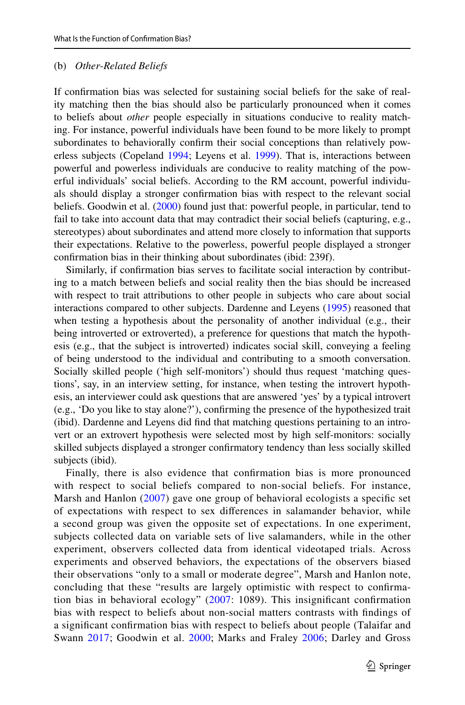#### (b) *Other*-*Related Beliefs*

If confrmation bias was selected for sustaining social beliefs for the sake of reality matching then the bias should also be particularly pronounced when it comes to beliefs about *other* people especially in situations conducive to reality matching. For instance, powerful individuals have been found to be more likely to prompt subordinates to behaviorally confrm their social conceptions than relatively powerless subjects (Copeland [1994](#page-20-3); Leyens et al. [1999\)](#page-22-25). That is, interactions between powerful and powerless individuals are conducive to reality matching of the powerful individuals' social beliefs. According to the RM account, powerful individuals should display a stronger confrmation bias with respect to the relevant social beliefs. Goodwin et al. ([2000\)](#page-21-22) found just that: powerful people, in particular, tend to fail to take into account data that may contradict their social beliefs (capturing, e.g., stereotypes) about subordinates and attend more closely to information that supports their expectations. Relative to the powerless, powerful people displayed a stronger confrmation bias in their thinking about subordinates (ibid: 239f).

Similarly, if confrmation bias serves to facilitate social interaction by contributing to a match between beliefs and social reality then the bias should be increased with respect to trait attributions to other people in subjects who care about social interactions compared to other subjects. Dardenne and Leyens ([1995\)](#page-21-20) reasoned that when testing a hypothesis about the personality of another individual (e.g., their being introverted or extroverted), a preference for questions that match the hypothesis (e.g., that the subject is introverted) indicates social skill, conveying a feeling of being understood to the individual and contributing to a smooth conversation. Socially skilled people ('high self-monitors') should thus request 'matching questions', say, in an interview setting, for instance, when testing the introvert hypothesis, an interviewer could ask questions that are answered 'yes' by a typical introvert (e.g., 'Do you like to stay alone?'), confrming the presence of the hypothesized trait (ibid). Dardenne and Leyens did fnd that matching questions pertaining to an introvert or an extrovert hypothesis were selected most by high self-monitors: socially skilled subjects displayed a stronger confrmatory tendency than less socially skilled subjects (ibid).

Finally, there is also evidence that confrmation bias is more pronounced with respect to social beliefs compared to non-social beliefs. For instance, Marsh and Hanlon ([2007\)](#page-22-26) gave one group of behavioral ecologists a specifc set of expectations with respect to sex diferences in salamander behavior, while a second group was given the opposite set of expectations. In one experiment, subjects collected data on variable sets of live salamanders, while in the other experiment, observers collected data from identical videotaped trials. Across experiments and observed behaviors, the expectations of the observers biased their observations "only to a small or moderate degree", Marsh and Hanlon note, concluding that these "results are largely optimistic with respect to confrmation bias in behavioral ecology" ([2007](#page-22-26): 1089). This insignifcant confrmation bias with respect to beliefs about non-social matters contrasts with fndings of a signifcant confrmation bias with respect to beliefs about people (Talaifar and Swann [2017;](#page-24-15) Goodwin et al. [2000](#page-21-22); Marks and Fraley [2006;](#page-22-27) Darley and Gross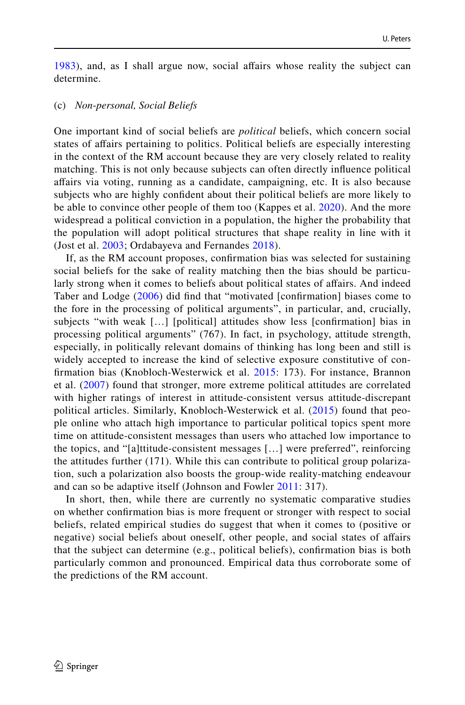[1983\)](#page-21-16), and, as I shall argue now, social afairs whose reality the subject can determine.

#### (c) *Non*-*personal, Social Beliefs*

One important kind of social beliefs are *political* beliefs, which concern social states of afairs pertaining to politics. Political beliefs are especially interesting in the context of the RM account because they are very closely related to reality matching. This is not only because subjects can often directly infuence political afairs via voting, running as a candidate, campaigning, etc. It is also because subjects who are highly confdent about their political beliefs are more likely to be able to convince other people of them too (Kappes et al. [2020](#page-22-21)). And the more widespread a political conviction in a population, the higher the probability that the population will adopt political structures that shape reality in line with it (Jost et al. [2003](#page-21-23); Ordabayeva and Fernandes [2018\)](#page-23-24).

If, as the RM account proposes, confrmation bias was selected for sustaining social beliefs for the sake of reality matching then the bias should be particularly strong when it comes to beliefs about political states of afairs. And indeed Taber and Lodge ([2006\)](#page-24-25) did fnd that "motivated [confrmation] biases come to the fore in the processing of political arguments", in particular, and, crucially, subjects "with weak […] [political] attitudes show less [confrmation] bias in processing political arguments" (767). In fact, in psychology, attitude strength, especially, in politically relevant domains of thinking has long been and still is widely accepted to increase the kind of selective exposure constitutive of confrmation bias (Knobloch-Westerwick et al. [2015:](#page-22-28) 173). For instance, Brannon et al. ([2007\)](#page-20-5) found that stronger, more extreme political attitudes are correlated with higher ratings of interest in attitude-consistent versus attitude-discrepant political articles. Similarly, Knobloch-Westerwick et al. [\(2015](#page-22-28)) found that people online who attach high importance to particular political topics spent more time on attitude-consistent messages than users who attached low importance to the topics, and "[a]ttitude-consistent messages […] were preferred", reinforcing the attitudes further (171). While this can contribute to political group polarization, such a polarization also boosts the group-wide reality-matching endeavour and can so be adaptive itself (Johnson and Fowler [2011:](#page-21-24) 317).

In short, then, while there are currently no systematic comparative studies on whether confrmation bias is more frequent or stronger with respect to social beliefs, related empirical studies do suggest that when it comes to (positive or negative) social beliefs about oneself, other people, and social states of afairs that the subject can determine (e.g., political beliefs), confrmation bias is both particularly common and pronounced. Empirical data thus corroborate some of the predictions of the RM account.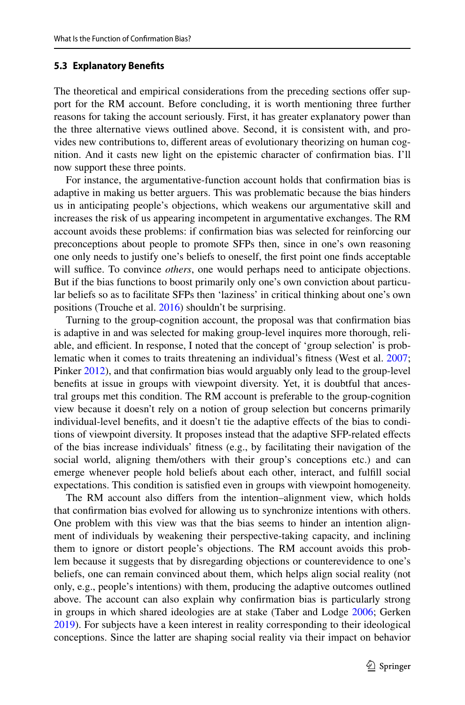### **5.3 Explanatory Benefts**

The theoretical and empirical considerations from the preceding sections ofer support for the RM account. Before concluding, it is worth mentioning three further reasons for taking the account seriously. First, it has greater explanatory power than the three alternative views outlined above. Second, it is consistent with, and provides new contributions to, diferent areas of evolutionary theorizing on human cognition. And it casts new light on the epistemic character of confrmation bias. I'll now support these three points.

For instance, the argumentative-function account holds that confrmation bias is adaptive in making us better arguers. This was problematic because the bias hinders us in anticipating people's objections, which weakens our argumentative skill and increases the risk of us appearing incompetent in argumentative exchanges. The RM account avoids these problems: if confrmation bias was selected for reinforcing our preconceptions about people to promote SFPs then, since in one's own reasoning one only needs to justify one's beliefs to oneself, the frst point one fnds acceptable will suffice. To convince *others*, one would perhaps need to anticipate objections. But if the bias functions to boost primarily only one's own conviction about particular beliefs so as to facilitate SFPs then 'laziness' in critical thinking about one's own positions (Trouche et al. [2016](#page-24-4)) shouldn't be surprising.

Turning to the group-cognition account, the proposal was that confrmation bias is adaptive in and was selected for making group-level inquires more thorough, reliable, and efficient. In response, I noted that the concept of 'group selection' is problematic when it comes to traits threatening an individual's ftness (West et al. [2007;](#page-24-6) Pinker [2012](#page-23-11)), and that confrmation bias would arguably only lead to the group-level benefts at issue in groups with viewpoint diversity. Yet, it is doubtful that ancestral groups met this condition. The RM account is preferable to the group-cognition view because it doesn't rely on a notion of group selection but concerns primarily individual-level benefts, and it doesn't tie the adaptive efects of the bias to conditions of viewpoint diversity. It proposes instead that the adaptive SFP-related efects of the bias increase individuals' ftness (e.g., by facilitating their navigation of the social world, aligning them/others with their group's conceptions etc.) and can emerge whenever people hold beliefs about each other, interact, and fulfll social expectations. This condition is satisfed even in groups with viewpoint homogeneity.

The RM account also difers from the intention–alignment view, which holds that confrmation bias evolved for allowing us to synchronize intentions with others. One problem with this view was that the bias seems to hinder an intention alignment of individuals by weakening their perspective-taking capacity, and inclining them to ignore or distort people's objections. The RM account avoids this problem because it suggests that by disregarding objections or counterevidence to one's beliefs, one can remain convinced about them, which helps align social reality (not only, e.g., people's intentions) with them, producing the adaptive outcomes outlined above. The account can also explain why confrmation bias is particularly strong in groups in which shared ideologies are at stake (Taber and Lodge [2006;](#page-24-25) Gerken [2019](#page-21-25)). For subjects have a keen interest in reality corresponding to their ideological conceptions. Since the latter are shaping social reality via their impact on behavior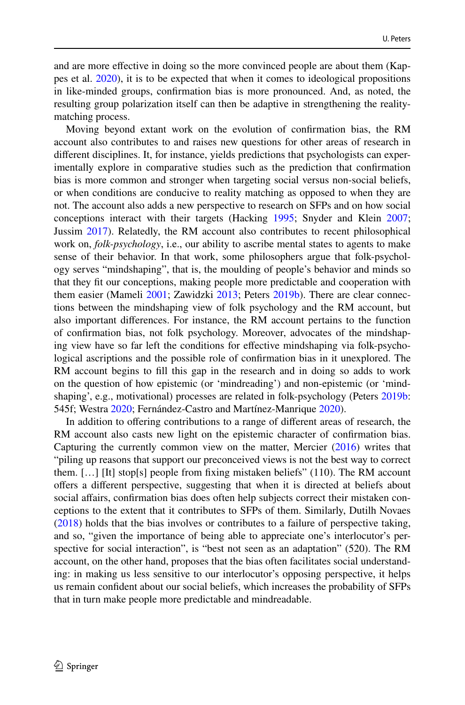and are more efective in doing so the more convinced people are about them (Kappes et al. [2020\)](#page-22-21), it is to be expected that when it comes to ideological propositions in like-minded groups, confrmation bias is more pronounced. And, as noted, the resulting group polarization itself can then be adaptive in strengthening the realitymatching process.

Moving beyond extant work on the evolution of confrmation bias, the RM account also contributes to and raises new questions for other areas of research in diferent disciplines. It, for instance, yields predictions that psychologists can experimentally explore in comparative studies such as the prediction that confrmation bias is more common and stronger when targeting social versus non-social beliefs, or when conditions are conducive to reality matching as opposed to when they are not. The account also adds a new perspective to research on SFPs and on how social conceptions interact with their targets (Hacking [1995](#page-21-26); Snyder and Klein [2007;](#page-23-16) Jussim [2017\)](#page-22-15). Relatedly, the RM account also contributes to recent philosophical work on, *folk-psychology*, i.e., our ability to ascribe mental states to agents to make sense of their behavior. In that work, some philosophers argue that folk-psychology serves "mindshaping", that is, the moulding of people's behavior and minds so that they ft our conceptions, making people more predictable and cooperation with them easier (Mameli [2001](#page-22-6); Zawidzki [2013;](#page-24-2) Peters [2019b](#page-23-25)). There are clear connections between the mindshaping view of folk psychology and the RM account, but also important diferences. For instance, the RM account pertains to the function of confrmation bias, not folk psychology. Moreover, advocates of the mindshaping view have so far left the conditions for efective mindshaping via folk-psychological ascriptions and the possible role of confrmation bias in it unexplored. The RM account begins to fll this gap in the research and in doing so adds to work on the question of how epistemic (or 'mindreading') and non-epistemic (or 'mindshaping', e.g., motivational) processes are related in folk-psychology (Peters [2019b:](#page-23-25) 545f; Westra [2020;](#page-24-26) Fernández-Castro and Martínez-Manrique [2020\)](#page-21-27).

In addition to ofering contributions to a range of diferent areas of research, the RM account also casts new light on the epistemic character of confrmation bias. Capturing the currently common view on the matter, Mercier ([2016\)](#page-22-2) writes that "piling up reasons that support our preconceived views is not the best way to correct them. […] [It] stop[s] people from fxing mistaken beliefs" (110). The RM account ofers a diferent perspective, suggesting that when it is directed at beliefs about social afairs, confrmation bias does often help subjects correct their mistaken conceptions to the extent that it contributes to SFPs of them. Similarly, Dutilh Novaes [\(2018](#page-21-2)) holds that the bias involves or contributes to a failure of perspective taking, and so, "given the importance of being able to appreciate one's interlocutor's perspective for social interaction", is "best not seen as an adaptation" (520). The RM account, on the other hand, proposes that the bias often facilitates social understanding: in making us less sensitive to our interlocutor's opposing perspective, it helps us remain confdent about our social beliefs, which increases the probability of SFPs that in turn make people more predictable and mindreadable.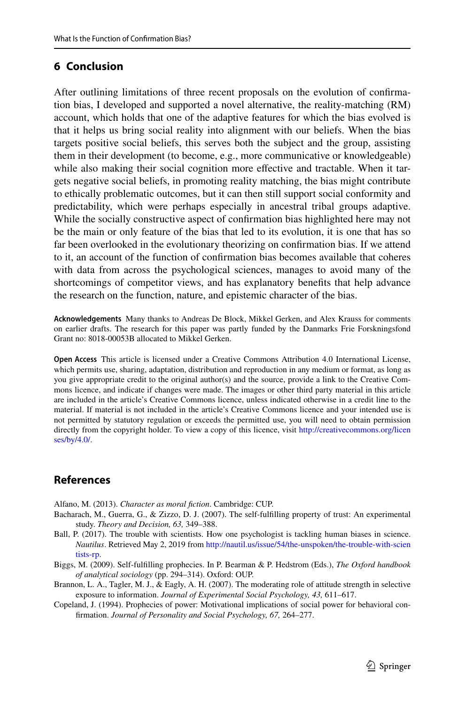## **6 Conclusion**

After outlining limitations of three recent proposals on the evolution of confrmation bias, I developed and supported a novel alternative, the reality-matching (RM) account, which holds that one of the adaptive features for which the bias evolved is that it helps us bring social reality into alignment with our beliefs. When the bias targets positive social beliefs, this serves both the subject and the group, assisting them in their development (to become, e.g., more communicative or knowledgeable) while also making their social cognition more effective and tractable. When it targets negative social beliefs, in promoting reality matching, the bias might contribute to ethically problematic outcomes, but it can then still support social conformity and predictability, which were perhaps especially in ancestral tribal groups adaptive. While the socially constructive aspect of confrmation bias highlighted here may not be the main or only feature of the bias that led to its evolution, it is one that has so far been overlooked in the evolutionary theorizing on confrmation bias. If we attend to it, an account of the function of confrmation bias becomes available that coheres with data from across the psychological sciences, manages to avoid many of the shortcomings of competitor views, and has explanatory benefts that help advance the research on the function, nature, and epistemic character of the bias.

**Acknowledgements** Many thanks to Andreas De Block, Mikkel Gerken, and Alex Krauss for comments on earlier drafts. The research for this paper was partly funded by the Danmarks Frie Forskningsfond Grant no: 8018-00053B allocated to Mikkel Gerken.

**Open Access** This article is licensed under a Creative Commons Attribution 4.0 International License, which permits use, sharing, adaptation, distribution and reproduction in any medium or format, as long as you give appropriate credit to the original author(s) and the source, provide a link to the Creative Commons licence, and indicate if changes were made. The images or other third party material in this article are included in the article's Creative Commons licence, unless indicated otherwise in a credit line to the material. If material is not included in the article's Creative Commons licence and your intended use is not permitted by statutory regulation or exceeds the permitted use, you will need to obtain permission directly from the copyright holder. To view a copy of this licence, visit [http://creativecommons.org/licen](http://creativecommons.org/licenses/by/4.0/) [ses/by/4.0/](http://creativecommons.org/licenses/by/4.0/).

## **References**

<span id="page-20-2"></span>Alfano, M. (2013). *Character as moral fction*. Cambridge: CUP.

- <span id="page-20-4"></span>Bacharach, M., Guerra, G., & Zizzo, D. J. (2007). The self-fulflling property of trust: An experimental study. *Theory and Decision, 63,* 349–388.
- <span id="page-20-0"></span>Ball, P. (2017). The trouble with scientists. How one psychologist is tackling human biases in science. *Nautilus*. Retrieved May 2, 2019 from [http://nautil.us/issue/54/the-unspoken/the-trouble-with-scien](http://nautil.us/issue/54/the-unspoken/the-trouble-with-scientists-rp) [tists-rp.](http://nautil.us/issue/54/the-unspoken/the-trouble-with-scientists-rp)
- <span id="page-20-1"></span>Biggs, M. (2009). Self-fulflling prophecies. In P. Bearman & P. Hedstrom (Eds.), *The Oxford handbook of analytical sociology* (pp. 294–314). Oxford: OUP.
- <span id="page-20-5"></span>Brannon, L. A., Tagler, M. J., & Eagly, A. H. (2007). The moderating role of attitude strength in selective exposure to information. *Journal of Experimental Social Psychology, 43,* 611–617.
- <span id="page-20-3"></span>Copeland, J. (1994). Prophecies of power: Motivational implications of social power for behavioral confrmation. *Journal of Personality and Social Psychology, 67,* 264–277.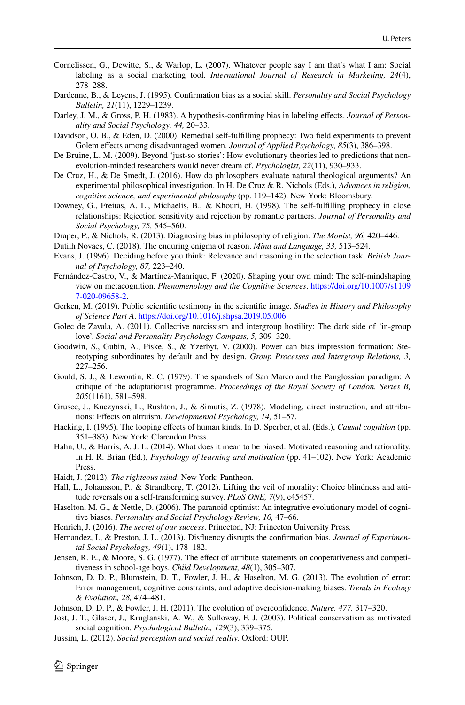- <span id="page-21-13"></span>Cornelissen, G., Dewitte, S., & Warlop, L. (2007). Whatever people say I am that's what I am: Social labeling as a social marketing tool. *International Journal of Research in Marketing, 24*(4), 278–288.
- <span id="page-21-20"></span>Dardenne, B., & Leyens, J. (1995). Confrmation bias as a social skill. *Personality and Social Psychology Bulletin, 21*(11), 1229–1239.
- <span id="page-21-16"></span>Darley, J. M., & Gross, P. H. (1983). A hypothesis-confrming bias in labeling efects. *Journal of Personality and Social Psychology, 44,* 20–33.
- <span id="page-21-14"></span>Davidson, O. B., & Eden, D. (2000). Remedial self-fulflling prophecy: Two feld experiments to prevent Golem efects among disadvantaged women. *Journal of Applied Psychology, 85*(3), 386–398.
- <span id="page-21-10"></span>De Bruine, L. M. (2009). Beyond 'just-so stories': How evolutionary theories led to predictions that nonevolution-minded researchers would never dream of. *Psychologist, 22*(11), 930–933.
- <span id="page-21-1"></span>De Cruz, H., & De Smedt, J. (2016). How do philosophers evaluate natural theological arguments? An experimental philosophical investigation. In H. De Cruz & R. Nichols (Eds.), *Advances in religion, cognitive science, and experimental philosophy* (pp. 119–142). New York: Bloomsbury.
- <span id="page-21-17"></span>Downey, G., Freitas, A. L., Michaelis, B., & Khouri, H. (1998). The self-fulflling prophecy in close relationships: Rejection sensitivity and rejection by romantic partners. *Journal of Personality and Social Psychology, 75,* 545–560.
- <span id="page-21-0"></span>Draper, P., & Nichols, R. (2013). Diagnosing bias in philosophy of religion. *The Monist, 96,* 420–446.
- <span id="page-21-2"></span>Dutilh Novaes, C. (2018). The enduring enigma of reason. *Mind and Language, 33,* 513–524.
- <span id="page-21-4"></span>Evans, J. (1996). Deciding before you think: Relevance and reasoning in the selection task. *British Journal of Psychology, 87,* 223–240.
- <span id="page-21-27"></span>Fernández-Castro, V., & Martínez-Manrique, F. (2020). Shaping your own mind: The self-mindshaping view on metacognition. *Phenomenology and the Cognitive Sciences*. [https://doi.org/10.1007/s1109](https://doi.org/10.1007/s11097-020-09658-2) [7-020-09658-2.](https://doi.org/10.1007/s11097-020-09658-2)
- <span id="page-21-25"></span>Gerken, M. (2019). Public scientifc testimony in the scientifc image. *Studies in History and Philosophy of Science Part A*. <https://doi.org/10.1016/j.shpsa.2019.05.006>.
- <span id="page-21-19"></span>Golec de Zavala, A. (2011). Collective narcissism and intergroup hostility: The dark side of 'in-group love'. *Social and Personality Psychology Compass, 5,* 309–320.
- <span id="page-21-22"></span>Goodwin, S., Gubin, A., Fiske, S., & Yzerbyt, V. (2000). Power can bias impression formation: Stereotyping subordinates by default and by design. *Group Processes and Intergroup Relations, 3,* 227–256.
- <span id="page-21-8"></span>Gould, S. J., & Lewontin, R. C. (1979). The spandrels of San Marco and the Panglossian paradigm: A critique of the adaptationist programme. *Proceedings of the Royal Society of London. Series B, 205*(1161), 581–598.
- <span id="page-21-12"></span>Grusec, J., Kuczynski, L., Rushton, J., & Simutis, Z. (1978). Modeling, direct instruction, and attributions: Efects on altruism. *Developmental Psychology, 14,* 51–57.
- <span id="page-21-26"></span>Hacking, I. (1995). The looping efects of human kinds. In D. Sperber, et al. (Eds.), *Causal cognition* (pp. 351–383). New York: Clarendon Press.
- <span id="page-21-5"></span>Hahn, U., & Harris, A. J. L. (2014). What does it mean to be biased: Motivated reasoning and rationality. In H. R. Brian (Ed.), *Psychology of learning and motivation* (pp. 41–102). New York: Academic Press.
- <span id="page-21-3"></span>Haidt, J. (2012). *The righteous mind*. New York: Pantheon.
- <span id="page-21-7"></span>Hall, L., Johansson, P., & Strandberg, T. (2012). Lifting the veil of morality: Choice blindness and attitude reversals on a self-transforming survey. *PLoS ONE, 7*(9), e45457.
- <span id="page-21-21"></span>Haselton, M. G., & Nettle, D. (2006). The paranoid optimist: An integrative evolutionary model of cognitive biases. *Personality and Social Psychology Review, 10,* 47–66.
- <span id="page-21-18"></span>Henrich, J. (2016). *The secret of our success*. Princeton, NJ: Princeton University Press.
- <span id="page-21-6"></span>Hernandez, I., & Preston, J. L. (2013). Disfuency disrupts the confrmation bias. *Journal of Experimental Social Psychology, 49*(1), 178–182.
- <span id="page-21-11"></span>Jensen, R. E., & Moore, S. G. (1977). The efect of attribute statements on cooperativeness and competitiveness in school-age boys. *Child Development, 48*(1), 305–307.
- <span id="page-21-9"></span>Johnson, D. D. P., Blumstein, D. T., Fowler, J. H., & Haselton, M. G. (2013). The evolution of error: Error management, cognitive constraints, and adaptive decision-making biases. *Trends in Ecology & Evolution, 28,* 474–481.
- <span id="page-21-24"></span>Johnson, D. D. P., & Fowler, J. H. (2011). The evolution of overconfdence. *Nature, 477,* 317–320.
- <span id="page-21-23"></span>Jost, J. T., Glaser, J., Kruglanski, A. W., & Sulloway, F. J. (2003). Political conservatism as motivated social cognition. *Psychological Bulletin, 129*(3), 339–375.
- <span id="page-21-15"></span>Jussim, L. (2012). *Social perception and social reality*. Oxford: OUP.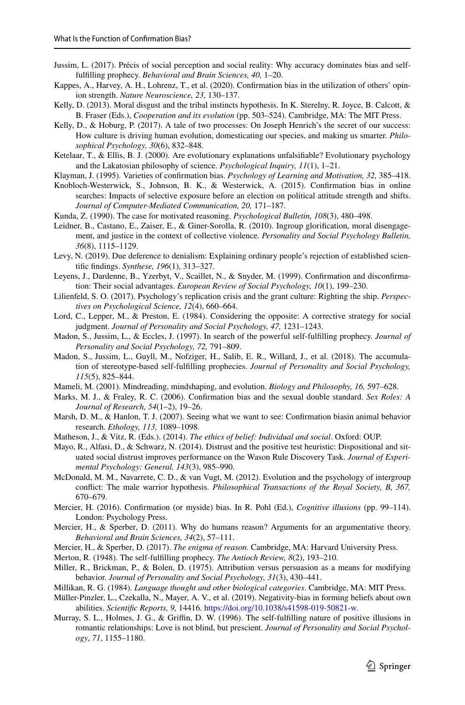- <span id="page-22-15"></span>Jussim, L. (2017). Précis of social perception and social reality: Why accuracy dominates bias and selffulflling prophecy. *Behavioral and Brain Sciences, 40,* 1–20.
- <span id="page-22-21"></span>Kappes, A., Harvey, A. H., Lohrenz, T., et al. (2020). Confrmation bias in the utilization of others' opinion strength. *Nature Neuroscience, 23,* 130–137.
- <span id="page-22-17"></span>Kelly, D. (2013). Moral disgust and the tribal instincts hypothesis. In K. Sterelny, R. Joyce, B. Calcott, & B. Fraser (Eds.), *Cooperation and its evolution* (pp. 503–524). Cambridge, MA: The MIT Press.
- <span id="page-22-22"></span>Kelly, D., & Hoburg, P. (2017). A tale of two processes: On Joseph Henrich's the secret of our success: How culture is driving human evolution, domesticating our species, and making us smarter. *Philosophical Psychology, 30*(6), 832–848.
- <span id="page-22-8"></span>Ketelaar, T., & Ellis, B. J. (2000). Are evolutionary explanations unfalsifable? Evolutionary psychology and the Lakatosian philosophy of science. *Psychological Inquiry, 11*(1), 1–21.
- <span id="page-22-4"></span>Klayman, J. (1995). Varieties of confrmation bias. *Psychology of Learning and Motivation, 32,* 385–418.
- <span id="page-22-28"></span>Knobloch-Westerwick, S., Johnson, B. K., & Westerwick, A. (2015). Confrmation bias in online searches: Impacts of selective exposure before an election on political attitude strength and shifts. *Journal of Computer-Mediated Communication, 20,* 171–187.
- <span id="page-22-5"></span>Kunda, Z. (1990). The case for motivated reasoning. *Psychological Bulletin, 108*(3), 480–498.
- <span id="page-22-19"></span>Leidner, B., Castano, E., Zaiser, E., & Giner-Sorolla, R. (2010). Ingroup glorifcation, moral disengagement, and justice in the context of collective violence. *Personality and Social Psychology Bulletin, 36*(8), 1115–1129.
- <span id="page-22-10"></span>Levy, N. (2019). Due deference to denialism: Explaining ordinary people's rejection of established scientifc fndings. *Synthese, 196*(1), 313–327.
- <span id="page-22-25"></span>Leyens, J., Dardenne, B., Yzerbyt, V., Scaillet, N., & Snyder, M. (1999). Confrmation and disconfrmation: Their social advantages. *European Review of Social Psychology, 10*(1), 199–230.
- <span id="page-22-0"></span>Lilienfeld, S. O. (2017). Psychology's replication crisis and the grant culture: Righting the ship. *Perspectives on Psychological Science, 12*(4), 660–664.
- <span id="page-22-3"></span>Lord, C., Lepper, M., & Preston, E. (1984). Considering the opposite: A corrective strategy for social judgment. *Journal of Personality and Social Psychology, 47,* 1231–1243.
- <span id="page-22-12"></span>Madon, S., Jussim, L., & Eccles, J. (1997). In search of the powerful self-fulflling prophecy. *Journal of Personality and Social Psychology, 72,* 791–809.
- <span id="page-22-16"></span>Madon, S., Jussim, L., Guyll, M., Nofziger, H., Salib, E. R., Willard, J., et al. (2018). The accumulation of stereotype-based self-fulflling prophecies. *Journal of Personality and Social Psychology, 115*(5), 825–844.
- <span id="page-22-6"></span>Mameli, M. (2001). Mindreading, mindshaping, and evolution. *Biology and Philosophy, 16,* 597–628.
- <span id="page-22-27"></span>Marks, M. J., & Fraley, R. C. (2006). Confrmation bias and the sexual double standard. *Sex Roles: A Journal of Research, 54*(1–2), 19–26.
- <span id="page-22-26"></span>Marsh, D. M., & Hanlon, T. J. (2007). Seeing what we want to see: Confrmation biasin animal behavior research. *Ethology, 113,* 1089–1098.
- <span id="page-22-20"></span>Matheson, J., & Vitz, R. (Eds.). (2014). *The ethics of belief: Individual and social*. Oxford: OUP.
- <span id="page-22-7"></span>Mayo, R., Alfasi, D., & Schwarz, N. (2014). Distrust and the positive test heuristic: Dispositional and situated social distrust improves performance on the Wason Rule Discovery Task. *Journal of Experimental Psychology: General, 143*(3), 985–990.
- <span id="page-22-18"></span>McDonald, M. M., Navarrete, C. D., & van Vugt, M. (2012). Evolution and the psychology of intergroup confict: The male warrior hypothesis. *Philosophical Transactions of the Royal Society, B, 367,* 670–679.
- <span id="page-22-2"></span>Mercier, H. (2016). Confrmation (or myside) bias. In R. Pohl (Ed.), *Cognitive illusions* (pp. 99–114). London: Psychology Press.
- <span id="page-22-9"></span>Mercier, H., & Sperber, D. (2011). Why do humans reason? Arguments for an argumentative theory. *Behavioral and Brain Sciences, 34*(2), 57–111.
- <span id="page-22-1"></span>Mercier, H., & Sperber, D. (2017). *The enigma of reason*. Cambridge, MA: Harvard University Press.
- <span id="page-22-11"></span>Merton, R. (1948). The self-fulflling prophecy. *The Antioch Review, 8*(2), 193–210.
- <span id="page-22-13"></span>Miller, R., Brickman, P., & Bolen, D. (1975). Attribution versus persuasion as a means for modifying behavior. *Journal of Personality and Social Psychology, 31*(3), 430–441.
- <span id="page-22-23"></span>Millikan, R. G. (1984). *Language thought and other biological categories*. Cambridge, MA: MIT Press.
- <span id="page-22-24"></span>Müller-Pinzler, L., Czekalla, N., Mayer, A. V., et al. (2019). Negativity-bias in forming beliefs about own abilities. *Scientifc Reports, 9,* 14416. [https://doi.org/10.1038/s41598-019-50821-w.](https://doi.org/10.1038/s41598-019-50821-w)
- <span id="page-22-14"></span>Murray, S. L., Holmes, J. G., & Grifn, D. W. (1996). The self-fulflling nature of positive illusions in romantic relationships: Love is not blind, but prescient. *Journal of Personality and Social Psychology*, *71*, 1155–1180.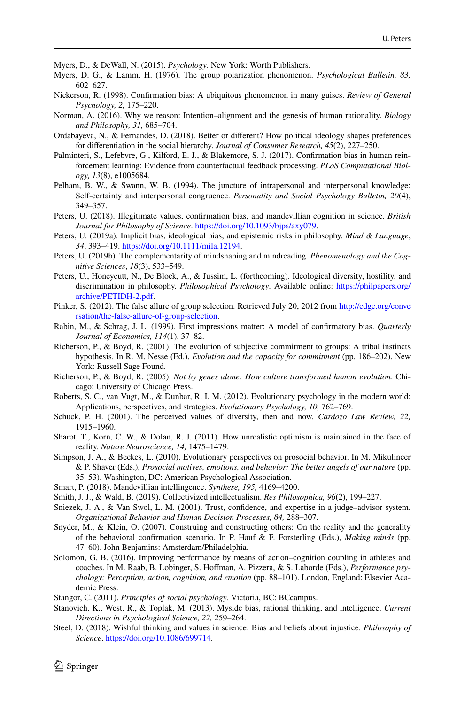<span id="page-23-1"></span>Myers, D., & DeWall, N. (2015). *Psychology*. New York: Worth Publishers.

- <span id="page-23-12"></span>Myers, D. G., & Lamm, H. (1976). The group polarization phenomenon. *Psychological Bulletin, 83,* 602–627.
- <span id="page-23-0"></span>Nickerson, R. (1998). Confrmation bias: A ubiquitous phenomenon in many guises. *Review of General Psychology, 2,* 175–220.
- <span id="page-23-5"></span>Norman, A. (2016). Why we reason: Intention–alignment and the genesis of human rationality. *Biology and Philosophy, 31,* 685–704.
- <span id="page-23-24"></span>Ordabayeva, N., & Fernandes, D. (2018). Better or diferent? How political ideology shapes preferences for diferentiation in the social hierarchy. *Journal of Consumer Research, 45*(2), 227–250.
- <span id="page-23-8"></span>Palminteri, S., Lefebvre, G., Kilford, E. J., & Blakemore, S. J. (2017). Confrmation bias in human reinforcement learning: Evidence from counterfactual feedback processing. *PLoS Computational Biology, 13*(8), e1005684.
- <span id="page-23-21"></span>Pelham, B. W., & Swann, W. B. (1994). The juncture of intrapersonal and interpersonal knowledge: Self-certainty and interpersonal congruence. *Personality and Social Psychology Bulletin, 20*(4), 349–357.
- <span id="page-23-4"></span>Peters, U. (2018). Illegitimate values, confrmation bias, and mandevillian cognition in science. *British Journal for Philosophy of Science*. [https://doi.org/10.1093/bjps/axy079.](https://doi.org/10.1093/bjps/axy079)
- <span id="page-23-2"></span>Peters, U. (2019a). Implicit bias, ideological bias, and epistemic risks in philosophy. *Mind & Language*, *34*, 393–419. <https://doi.org/10.1111/mila.12194>.
- <span id="page-23-25"></span>Peters, U. (2019b). The complementarity of mindshaping and mindreading. *Phenomenology and the Cognitive Sciences*, *18*(3), 533–549.
- Peters, U., Honeycutt, N., De Block, A., & Jussim, L. (forthcoming). Ideological diversity, hostility, and discrimination in philosophy. *Philosophical Psychology*. Available online: [https://philpapers.org/](https://philpapers.org/archive/PETIDH-2.pdf) [archive/PETIDH-2.pdf.](https://philpapers.org/archive/PETIDH-2.pdf)
- <span id="page-23-11"></span>Pinker, S. (2012). The false allure of group selection. Retrieved July 20, 2012 from [http://edge.org/conve](http://edge.org/conversation/the-false-allure-of-group-selection) [rsation/the-false-allure-of-group-selection.](http://edge.org/conversation/the-false-allure-of-group-selection)
- <span id="page-23-20"></span>Rabin, M., & Schrag, J. L. (1999). First impressions matter: A model of confrmatory bias. *Quarterly Journal of Economics, 114*(1), 37–82.
- <span id="page-23-17"></span>Richerson, P., & Boyd, R. (2001). The evolution of subjective commitment to groups: A tribal instincts hypothesis. In R. M. Nesse (Ed.), *Evolution and the capacity for commitment* (pp. 186–202). New York: Russell Sage Found.
- <span id="page-23-22"></span>Richerson, P., & Boyd, R. (2005). *Not by genes alone: How culture transformed human evolution*. Chicago: University of Chicago Press.
- <span id="page-23-9"></span>Roberts, S. C., van Vugt, M., & Dunbar, R. I. M. (2012). Evolutionary psychology in the modern world: Applications, perspectives, and strategies. *Evolutionary Psychology, 10,* 762–769.
- <span id="page-23-14"></span>Schuck, P. H. (2001). The perceived values of diversity, then and now. *Cardozo Law Review, 22,* 1915–1960.
- <span id="page-23-23"></span>Sharot, T., Korn, C. W., & Dolan, R. J. (2011). How unrealistic optimism is maintained in the face of reality. *Nature Neuroscience, 14,* 1475–1479.
- <span id="page-23-13"></span>Simpson, J. A., & Beckes, L. (2010). Evolutionary perspectives on prosocial behavior. In M. Mikulincer & P. Shaver (Eds.), *Prosocial motives, emotions, and behavior: The better angels of our nature* (pp. 35–53). Washington, DC: American Psychological Association.
- <span id="page-23-7"></span>Smart, P. (2018). Mandevillian intellingence. *Synthese, 195,* 4169–4200.
- <span id="page-23-10"></span>Smith, J. J., & Wald, B. (2019). Collectivized intellectualism. *Res Philosophica, 96*(2), 199–227.
- <span id="page-23-19"></span>Sniezek, J. A., & Van Swol, L. M. (2001). Trust, confdence, and expertise in a judge–advisor system. *Organizational Behavior and Human Decision Processes, 84,* 288–307.
- <span id="page-23-16"></span>Snyder, M., & Klein, O. (2007). Construing and constructing others: On the reality and the generality of the behavioral confrmation scenario. In P. Hauf & F. Forsterling (Eds.), *Making minds* (pp. 47–60). John Benjamins: Amsterdam/Philadelphia.
- <span id="page-23-15"></span>Solomon, G. B. (2016). Improving performance by means of action–cognition coupling in athletes and coaches. In M. Raab, B. Lobinger, S. Hofman, A. Pizzera, & S. Laborde (Eds.), *Performance psychology: Perception, action, cognition, and emotion* (pp. 88–101). London, England: Elsevier Academic Press.
- <span id="page-23-18"></span>Stangor, C. (2011). *Principles of social psychology*. Victoria, BC: BCcampus.
- <span id="page-23-6"></span>Stanovich, K., West, R., & Toplak, M. (2013). Myside bias, rational thinking, and intelligence. *Current Directions in Psychological Science, 22,* 259–264.
- <span id="page-23-3"></span>Steel, D. (2018). Wishful thinking and values in science: Bias and beliefs about injustice. *Philosophy of Science*. <https://doi.org/10.1086/699714>.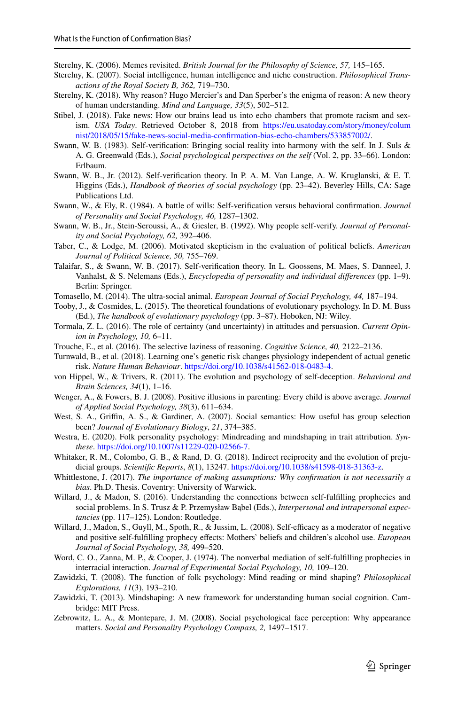<span id="page-24-20"></span>Sterelny, K. (2006). Memes revisited. *British Journal for the Philosophy of Science, 57,* 145–165.

- <span id="page-24-13"></span>Sterelny, K. (2007). Social intelligence, human intelligence and niche construction. *Philosophical Transactions of the Royal Society B, 362,* 719–730.
- <span id="page-24-1"></span>Sterelny, K. (2018). Why reason? Hugo Mercier's and Dan Sperber's the enigma of reason: A new theory of human understanding. *Mind and Language, 33*(5), 502–512.
- <span id="page-24-0"></span>Stibel, J. (2018). Fake news: How our brains lead us into echo chambers that promote racism and sexism. *USA Today*. Retrieved October 8, 2018 from [https://eu.usatoday.com/story/money/colum](https://eu.usatoday.com/story/money/columnist/2018/05/15/fake-news-social-media-confirmation-bias-echo-chambers/533857002/) [nist/2018/05/15/fake-news-social-media-confrmation-bias-echo-chambers/533857002/](https://eu.usatoday.com/story/money/columnist/2018/05/15/fake-news-social-media-confirmation-bias-echo-chambers/533857002/).
- <span id="page-24-23"></span>Swann, W. B. (1983). Self-verifcation: Bringing social reality into harmony with the self. In J. Suls & A. G. Greenwald (Eds.), *Social psychological perspectives on the self* (Vol. 2, pp. 33–66). London: Erlbaum.
- <span id="page-24-7"></span>Swann, W. B., Jr. (2012). Self-verifcation theory. In P. A. M. Van Lange, A. W. Kruglanski, & E. T. Higgins (Eds.), *Handbook of theories of social psychology* (pp. 23–42). Beverley Hills, CA: Sage Publications Ltd.
- <span id="page-24-19"></span>Swann, W., & Ely, R. (1984). A battle of wills: Self-verifcation versus behavioral confrmation. *Journal of Personality and Social Psychology, 46,* 1287–1302.
- <span id="page-24-24"></span>Swann, W. B., Jr., Stein-Seroussi, A., & Giesler, B. (1992). Why people self-verify. *Journal of Personality and Social Psychology, 62,* 392–406.
- <span id="page-24-25"></span>Taber, C., & Lodge, M. (2006). Motivated skepticism in the evaluation of political beliefs. *American Journal of Political Science, 50,* 755–769.
- <span id="page-24-15"></span>Talaifar, S., & Swann, W. B. (2017). Self-verifcation theory. In L. Goossens, M. Maes, S. Danneel, J. Vanhalst, & S. Nelemans (Eds.), *Encyclopedia of personality and individual diferences* (pp. 1–9). Berlin: Springer.
- <span id="page-24-12"></span>Tomasello, M. (2014). The ultra-social animal. *European Journal of Social Psychology, 44,* 187–194.
- <span id="page-24-5"></span>Tooby, J., & Cosmides, L. (2015). The theoretical foundations of evolutionary psychology. In D. M. Buss (Ed.), *The handbook of evolutionary psychology* (pp. 3–87). Hoboken, NJ: Wiley.
- <span id="page-24-18"></span>Tormala, Z. L. (2016). The role of certainty (and uncertainty) in attitudes and persuasion. *Current Opinion in Psychology, 10,* 6–11.
- <span id="page-24-4"></span>Trouche, E., et al. (2016). The selective laziness of reasoning. *Cognitive Science, 40,* 2122–2136.
- <span id="page-24-9"></span>Turnwald, B., et al. (2018). Learning one's genetic risk changes physiology independent of actual genetic risk. *Nature Human Behaviour*.<https://doi.org/10.1038/s41562-018-0483-4>.
- <span id="page-24-17"></span>von Hippel, W., & Trivers, R. (2011). The evolution and psychology of self-deception. *Behavioral and Brain Sciences, 34*(1), 1–16.
- <span id="page-24-16"></span>Wenger, A., & Fowers, B. J. (2008). Positive illusions in parenting: Every child is above average. *Journal of Applied Social Psychology, 38*(3), 611–634.
- <span id="page-24-6"></span>West, S. A., Grifn, A. S., & Gardiner, A. (2007). Social semantics: How useful has group selection been? *Journal of Evolutionary Biology*, *21*, 374–385.
- <span id="page-24-26"></span>Westra, E. (2020). Folk personality psychology: Mindreading and mindshaping in trait attribution. *Synthese*. <https://doi.org/10.1007/s11229-020-02566-7>.
- <span id="page-24-21"></span>Whitaker, R. M., Colombo, G. B., & Rand, D. G. (2018). Indirect reciprocity and the evolution of prejudicial groups. *Scientifc Reports*, *8*(1), 13247. [https://doi.org/10.1038/s41598-018-31363-z.](https://doi.org/10.1038/s41598-018-31363-z)
- <span id="page-24-3"></span>Whittlestone, J. (2017). *The importance of making assumptions: Why confrmation is not necessarily a bias*. Ph.D. Thesis. Coventry: University of Warwick.
- <span id="page-24-11"></span>Willard, J., & Madon, S. (2016). Understanding the connections between self-fulflling prophecies and social problems. In S. Trusz & P. Przemysław Bąbel (Eds.), *Interpersonal and intrapersonal expectancies* (pp. 117–125). London: Routledge.
- <span id="page-24-8"></span>Willard, J., Madon, S., Guyll, M., Spoth, R., & Jussim, L. (2008). Self-efficacy as a moderator of negative and positive self-fulflling prophecy efects: Mothers' beliefs and children's alcohol use. *European Journal of Social Psychology, 38,* 499–520.
- <span id="page-24-10"></span>Word, C. O., Zanna, M. P., & Cooper, J. (1974). The nonverbal mediation of self-fulfilling prophecies in interracial interaction. *Journal of Experimental Social Psychology, 10,* 109–120.
- <span id="page-24-14"></span>Zawidzki, T. (2008). The function of folk psychology: Mind reading or mind shaping? *Philosophical Explorations, 11*(3), 193–210.
- <span id="page-24-2"></span>Zawidzki, T. (2013). Mindshaping: A new framework for understanding human social cognition. Cambridge: MIT Press.
- <span id="page-24-22"></span>Zebrowitz, L. A., & Montepare, J. M. (2008). Social psychological face perception: Why appearance matters. *Social and Personality Psychology Compass, 2,* 1497–1517.